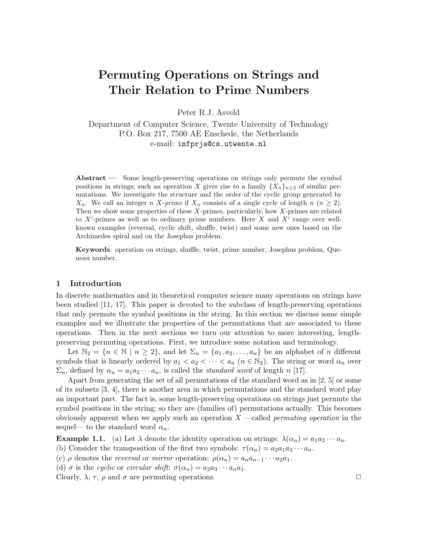# Permuting Operations on Strings and Their Relation to Prime Numbers

Peter R.J. Asveld

Department of Computer Science, Twente University of Technology P.O. Box 217, 7500 AE Enschede, the Netherlands e-mail: infprja@cs.utwente.nl

Abstract — Some length-preserving operations on strings only permute the symbol positions in strings; such an operation X gives rise to a family  $\{X_n\}_{n>2}$  of similar permutations. We investigate the structure and the order of the cyclic group generated by  $X_n$ . We call an integer n X-prime if  $X_n$  consists of a single cycle of length n  $(n \geq 2)$ . Then we show some properties of these  $X$ -primes, particularly, how  $X$ -primes are related to  $X'$ -primes as well as to ordinary prime numbers. Here  $X$  and  $X'$  range over wellknown examples (reversal, cyclic shift, shuffle, twist) and some new ones based on the Archimedes spiral and on the Josephus problem.

Keywords: operation on strings, shuffle, twist, prime number, Josephus problem, Queneau number.

#### 1 Introduction

In discrete mathematics and in theoretical computer science many operations on strings have been studied [11, 17]. This paper is devoted to the subclass of length-preserving operations that only permute the symbol positions in the string. In this section we discuss some simple examples and we illustrate the properties of the permutations that are associated to these operations. Then in the next sections we turn our attention to more interesting, lengthpreserving permuting operations. First, we introduce some notation and terminology.

Let  $\mathbb{N}_2 = \{n \in \mathbb{N} \mid n \geq 2\}$ , and let  $\Sigma_n = \{a_1, a_2, \ldots, a_n\}$  be an alphabet of n different symbols that is linearly ordered by  $a_1 < a_2 < \cdots < a_n$   $(n \in \mathbb{N}_2)$ . The string or word  $\alpha_n$  over  $\Sigma_n$ , defined by  $\alpha_n = a_1 a_2 \cdots a_n$ , is called the *standard word* of length n [17].

Apart from generating the set of all permutations of the standard word as in [2, 5] or some of its subsets [3, 4], there is another area in which permutations and the standard word play an important part. The fact is, some length-preserving operations on strings just permute the symbol positions in the string; so they are (families of) permutations actually. This becomes obviously apparent when we apply such an operation  $X$  —called *permuting operation* in the sequel— to the standard word  $\alpha_n$ .

**Example 1.1.** (a) Let  $\lambda$  denote the identity operation on strings:  $\lambda(\alpha_n) = a_1 a_2 \cdots a_n$ .

(b) Consider the transposition of the first two symbols:  $\tau(\alpha_n) = a_2 a_1 a_3 \cdots a_n$ .

(c)  $\rho$  denotes the *reversal* or *mirror* operation:  $\rho(\alpha_n) = a_n a_{n-1} \cdots a_2 a_1$ .

(d)  $\sigma$  is the cyclic or circular shift:  $\sigma(\alpha_n) = a_2 a_3 \cdots a_n a_1$ .

Clearly,  $\lambda$ ,  $\tau$ ,  $\rho$  and  $\sigma$  are permuting operations.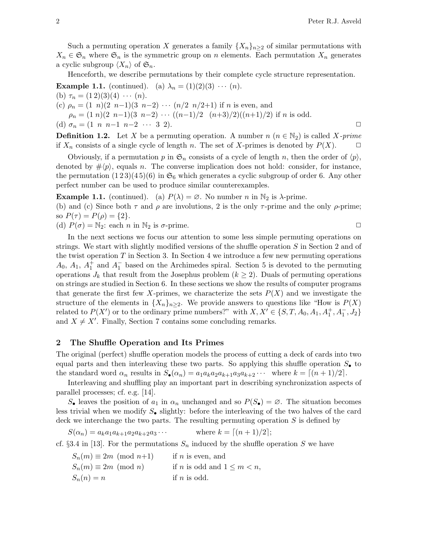Such a permuting operation X generates a family  $\{X_n\}_{n\geq 2}$  of similar permutations with  $X_n \in \mathfrak{S}_n$  where  $\mathfrak{S}_n$  is the symmetric group on n elements. Each permutation  $X_n$  generates a cyclic subgroup  $\langle X_n \rangle$  of  $\mathfrak{S}_n$ .

Henceforth, we describe permutations by their complete cycle structure representation.

**Example 1.1.** (continued). (a)  $\lambda_n = (1)(2)(3) \cdots (n)$ . (b)  $\tau_n = (1\,2)(3)(4) \cdots (n)$ . (c)  $\rho_n = (1 \ n)(2 \ n-1)(3 \ n-2) \ \cdots \ (n/2 \ n/2+1)$  if n is even, and  $\rho_n = (1 \ n)(2 \ n-1)(3 \ n-2) \ \cdots \ ((n-1)/2 \ (n+3)/2)((n+1)/2)$  if n is odd. (d)  $\sigma_n = (1 \ n \ n-1 \ n-2 \ \cdots \ 3 \ 2).$   $\Box$ 

**Definition 1.2.** Let X be a permuting operation. A number  $n (n \in \mathbb{N}_2)$  is called X-prime if  $X_n$  consists of a single cycle of length n. The set of X-primes is denoted by  $P(X)$ .  $\Box$ 

Obviously, if a permutation p in  $\mathfrak{S}_n$  consists of a cycle of length n, then the order of  $\langle p \rangle$ , denoted by  $\# \langle p \rangle$ , equals n. The converse implication does not hold: consider, for instance, the permutation  $(1\,2\,3)(4\,5)(6)$  in  $\mathfrak{S}_6$  which generates a cyclic subgroup of order 6. Any other perfect number can be used to produce similar counterexamples.

**Example 1.1.** (continued). (a)  $P(\lambda) = \emptyset$ . No number n in  $\mathbb{N}_2$  is  $\lambda$ -prime. (b) and (c) Since both  $\tau$  and  $\rho$  are involutions, 2 is the only  $\tau$ -prime and the only  $\rho$ -prime; so  $P(\tau) = P(\rho) = \{2\}.$ 

(d)  $P(\sigma) = N_2$ : each n in  $N_2$  is  $\sigma$ -prime.

In the next sections we focus our attention to some less simple permuting operations on strings. We start with slightly modified versions of the shuffle operation S in Section 2 and of the twist operation  $T$  in Section 3. In Section 4 we introduce a few new permuting operations  $A_0, A_1, A_1^+$  and  $A_1^-$  based on the Archimedes spiral. Section 5 is devoted to the permuting operations  $J_k$  that result from the Josephus problem  $(k \geq 2)$ . Duals of permuting operations on strings are studied in Section 6. In these sections we show the results of computer programs that generate the first few X-primes, we characterize the sets  $P(X)$  and we investigate the structure of the elements in  $\{X_n\}_{n\geq 2}$ . We provide answers to questions like "How is  $P(X)$ " related to  $P(X')$  or to the ordinary prime numbers?" with  $X, X' \in \{S, T, A_0, A_1, A_1^+, A_1^-, J_2\}$ and  $X \neq X'$ . Finally, Section 7 contains some concluding remarks.

# 2 The Shuffle Operation and Its Primes

The original (perfect) shuffle operation models the process of cutting a deck of cards into two equal parts and then interleaving these two parts. So applying this shuffle operation  $S_{\bullet}$  to the standard word  $\alpha_n$  results in  $S_{\bullet}(\alpha_n) = a_1 a_k a_2 a_{k+1} a_3 a_{k+2} \cdots$  where  $k = \lfloor (n+1)/2 \rfloor$ .

Interleaving and shuffling play an important part in describing synchronization aspects of parallel processes; cf. e.g. [14].

 $S_{\bullet}$  leaves the position of  $a_1$  in  $\alpha_n$  unchanged and so  $P(S_{\bullet}) = \emptyset$ . The situation becomes less trivial when we modify  $S_{\bullet}$  slightly: before the interleaving of the two halves of the card deck we interchange the two parts. The resulting permuting operation  $S$  is defined by

 $S(\alpha_n) = a_k a_1 a_{k+1} a_2 a_{k+2} a_3 \cdots$  where  $k = \lceil (n+1)/2 \rceil$ ;

cf. §3.4 in [13]. For the permutations  $S_n$  induced by the shuffle operation S we have

 $S_n(m) \equiv 2m \pmod{n+1}$  if n is even, and  $S_n(m) \equiv 2m \pmod{n}$  if n is odd and  $1 \leq m < n$ ,  $S_n(n) = n$  if n is odd.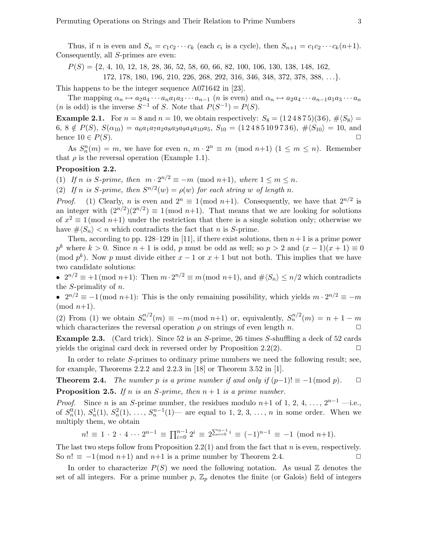Thus, if *n* is even and  $S_n = c_1 c_2 \cdots c_k$  (each  $c_i$  is a cycle), then  $S_{n+1} = c_1 c_2 \cdots c_k (n+1)$ . Consequently, all S-primes are even:

 $P(S) = \{2, 4, 10, 12, 18, 28, 36, 52, 58, 60, 66, 82, 100, 106, 130, 138, 148, 162,$ 172, 178, 180, 196, 210, 226, 268, 292, 316, 346, 348, 372, 378, 388, . . .}.

This happens to be the integer sequence A071642 in [23].

The mapping  $\alpha_n \mapsto a_2a_4 \cdots a_na_1a_3 \cdots a_{n-1}$  (*n* is even) and  $\alpha_n \mapsto a_2a_4 \cdots a_{n-1}a_1a_3 \cdots a_n$ (*n* is odd) is the inverse  $S^{-1}$  of S. Note that  $P(S^{-1}) = P(S)$ .

**Example 2.1.** For  $n = 8$  and  $n = 10$ , we obtain respectively:  $S_8 = (1\,2\,4\,8\,7\,5)(3\,6), \# \langle S_8 \rangle =$ 6,  $8 \notin P(S)$ ,  $S(\alpha_{10}) = a_6a_1a_7a_2a_8a_3a_9a_4a_{10}a_5$ ,  $S_{10} = (1\,2\,4\,8\,5\,10\,9\,7\,3\,6)$ ,  $\# \langle S_{10} \rangle = 10$ , and hence  $10 \in P(S)$ .

As  $S_n^n(m) = m$ , we have for even  $n, m \cdot 2^n \equiv m \pmod{n+1}$   $(1 \leq m \leq n)$ . Remember that  $\rho$  is the reversal operation (Example 1.1).

#### Proposition 2.2.

(1) If n is S-prime, then  $m \cdot 2^{n/2} \equiv -m \pmod{n+1}$ , where  $1 \le m \le n$ .

(2) If n is S-prime, then  $S^{n/2}(w) = \rho(w)$  for each string w of length n.

*Proof.* (1) Clearly, *n* is even and  $2^n \equiv 1 \pmod{n+1}$ . Consequently, we have that  $2^{n/2}$  is an integer with  $(2^{n/2})(2^{n/2}) \equiv 1 \pmod{n+1}$ . That means that we are looking for solutions of  $x^2 \equiv 1 \pmod{n+1}$  under the restriction that there is a single solution only; otherwise we have  $\# \langle S_n \rangle < n$  which contradicts the fact that n is S-prime.

Then, according to pp. 128–129 in [11], if there exist solutions, then  $n+1$  is a prime power  $p^k$  where  $k > 0$ . Since  $n + 1$  is odd, p must be odd as well; so  $p > 2$  and  $(x - 1)(x + 1) \equiv 0$ (mod  $p^k$ ). Now p must divide either  $x-1$  or  $x+1$  but not both. This implies that we have two candidate solutions:

•  $2^{n/2} \equiv +1 \pmod{n+1}$ : Then  $m \cdot 2^{n/2} \equiv m \pmod{n+1}$ , and  $\# \langle S_n \rangle \leq n/2$  which contradicts the S-primality of n.

•  $2^{n/2} \equiv -1 \pmod{n+1}$ : This is the only remaining possibility, which yields  $m \cdot 2^{n/2} \equiv -m$  $\pmod{n+1}$ .

(2) From (1) we obtain  $S_n^{n/2}(m) \equiv -m \pmod{n+1}$  or, equivalently,  $S_n^{n/2}(m) = n+1-m$ which characterizes the reversal operation  $\rho$  on strings of even length n.  $\Box$ 

Example 2.3. (Card trick). Since 52 is an S-prime, 26 times S-shuffling a deck of 52 cards yields the original card deck in reversed order by Proposition 2.2(2).  $\Box$ 

In order to relate S-primes to ordinary prime numbers we need the following result; see, for example, Theorems 2.2.2 and 2.2.3 in [18] or Theorem 3.52 in [1].

**Theorem 2.4.** The number p is a prime number if and only if  $(p-1)! \equiv -1 \pmod{p}$ .  $\Box$ **Proposition 2.5.** If n is an S-prime, then  $n + 1$  is a prime number.

*Proof.* Since *n* is an *S*-prime number, the residues modulo *n*+1 of 1, 2, 4, ...,  $2^{n-1}$  —i.e., of  $S_n^0(1)$ ,  $S_n^1(1)$ ,  $S_n^2(1)$ , ...,  $S_n^{n-1}(1)$  are equal to 1, 2, 3, ..., n in some order. When we multiply them, we obtain

$$
n! \equiv 1 \cdot 2 \cdot 4 \cdots 2^{n-1} \equiv \prod_{i=0}^{n-1} 2^i \equiv 2^{\sum_{i=0}^{n-1} i} \equiv (-1)^{n-1} \equiv -1 \pmod{n+1}.
$$

The last two steps follow from Proposition 2.2(1) and from the fact that n is even, respectively. So  $n! \equiv -1 \pmod{n+1}$  and  $n+1$  is a prime number by Theorem 2.4.

In order to characterize  $P(S)$  we need the following notation. As usual Z denotes the set of all integers. For a prime number  $p, \mathbb{Z}_p$  denotes the finite (or Galois) field of integers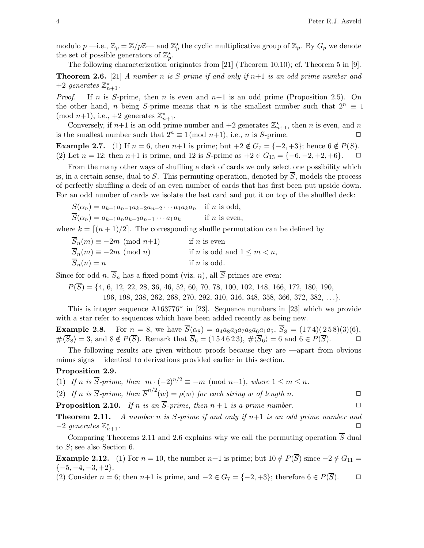modulo  $p$  —i.e.,  $\mathbb{Z}_p = \mathbb{Z}/p\mathbb{Z}$ — and  $\mathbb{Z}_p^{\star}$  the cyclic multiplicative group of  $\mathbb{Z}_p$ . By  $G_p$  we denote the set of possible generators of  $\mathbb{Z}_p^*$ .

The following characterization originates from [21] (Theorem 10.10); cf. Theorem 5 in [9]. **Theorem 2.6.** [21] A number n is S-prime if and only if  $n+1$  is an odd prime number and +2 generates  $\mathbb{Z}_{n+1}^{\star}$ .

*Proof.* If n is S-prime, then n is even and  $n+1$  is an odd prime (Proposition 2.5). On the other hand, n being S-prime means that n is the smallest number such that  $2^n \equiv 1$ (mod  $n+1$ ), i.e.,  $+2$  generates  $\mathbb{Z}_{n+1}^{\star}$ .

Conversely, if  $n+1$  is an odd prime number and  $+2$  generates  $\mathbb{Z}_{n+1}^*$ , then n is even, and n is the smallest number such that  $2^n \equiv 1 \pmod{n+1}$ , i.e., *n* is *S*-prime.

**Example 2.7.** (1) If  $n = 6$ , then  $n+1$  is prime; but  $+2 \notin G_7 = \{-2, +3\}$ ; hence  $6 \notin P(S)$ . (2) Let  $n = 12$ ; then  $n+1$  is prime, and 12 is S-prime as  $+2 \in G_{13} = \{-6, -2, +2, +6\}.$   $\Box$ 

From the many other ways of shuffling a deck of cards we only select one possibility which is, in a certain sense, dual to S. This permuting operation, denoted by  $\overline{S}$ , models the process of perfectly shuffling a deck of an even number of cards that has first been put upside down. For an odd number of cards we isolate the last card and put it on top of the shuffled deck:

 $\overline{S}(\alpha_n) = a_{k-1}a_{n-1}a_{k-2}a_{n-2}\cdots a_1a_ka_n$  if *n* is odd,  $\overline{S}(\alpha_n) = a_{k-1}a_n a_{k-2} a_{n-1} \cdots a_1 a_k$  if n is even,

where  $k = \lfloor (n+1)/2 \rfloor$ . The corresponding shuffle permutation can be defined by

| $\overline{S}_n(m) \equiv -2m \pmod{n+1}$ | if $n$ is even                          |
|-------------------------------------------|-----------------------------------------|
| $S_n(m) \equiv -2m \pmod{n}$              | if <i>n</i> is odd and $1 \leq m < n$ , |
| $S_n(n) = n$                              | if $n$ is odd.                          |

Since for odd n,  $\overline{S}_n$  has a fixed point (viz. n), all  $\overline{S}$ -primes are even:

 $P(\overline{S}) = \{4, 6, 12, 22, 28, 36, 46, 52, 60, 70, 78, 100, 102, 148, 166, 172, 180, 190,$ 

196, 198, 238, 262, 268, 270, 292, 310, 316, 348, 358, 366, 372, 382, . . .}.

This is integer sequence A163776\* in [23]. Sequence numbers in [23] which we provide with a star refer to sequences which have been added recently as being new.

**Example 2.8.** For  $n = 8$ , we have  $S(\alpha_8) = a_4 a_8 a_3 a_7 a_2 a_6 a_1 a_5$ ,  $S_8 = (174)(258)(3)(6)$ ,  $\#\langle \overline{S}_8 \rangle = 3$ , and  $8 \notin P(\overline{S})$ . Remark that  $\overline{S}_6 = (154623)$ ,  $\#\langle \overline{S}_6 \rangle = 6$  and  $6 \in P(\overline{S})$ .

The following results are given without proofs because they are —apart from obvious minus signs— identical to derivations provided earlier in this section.

#### Proposition 2.9.

(1) If n is  $\overline{S}$ -prime, then  $m \cdot (-2)^{n/2} \equiv -m \pmod{n+1}$ , where  $1 \le m \le n$ .

(2) If n is 
$$
\overline{S}
$$
-prime, then  $\overline{S}^{n/2}(w) = \rho(w)$  for each string w of length n.

**Proposition 2.10.** If n is an  $\overline{S}$ -prime, then  $n + 1$  is a prime number.

**Theorem 2.11.** A number n is  $\overline{S}$ -prime if and only if n+1 is an odd prime number and  $-2$  generates  $\mathbb{Z}_n^*$  $n+1$ .

Comparing Theorems 2.11 and 2.6 explains why we call the permuting operation  $\overline{S}$  dual to S; see also Section 6.

**Example 2.12.** (1) For  $n = 10$ , the number  $n+1$  is prime; but  $10 \notin P(\overline{S})$  since  $-2 \notin G_{11} =$  $\{-5, -4, -3, +2\}.$ 

(2) Consider  $n = 6$ ; then  $n+1$  is prime, and  $-2 \in G_7 = \{-2, +3\}$ ; therefore  $6 \in P(\overline{S})$ .  $\Box$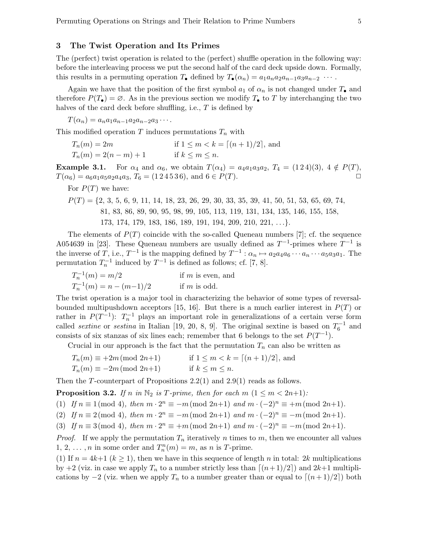### 3 The Twist Operation and Its Primes

The (perfect) twist operation is related to the (perfect) shuffle operation in the following way: before the interleaving process we put the second half of the card deck upside down. Formally, this results in a permuting operation  $T_{\bullet}$  defined by  $T_{\bullet}(\alpha_n) = a_1 a_n a_2 a_{n-1} a_3 a_{n-2} \cdots$ .

Again we have that the position of the first symbol  $a_1$  of  $\alpha_n$  is not changed under  $T_{\bullet}$  and therefore  $P(T_{\bullet}) = \emptyset$ . As in the previous section we modify  $T_{\bullet}$  to T by interchanging the two halves of the card deck before shuffling, i.e., T is defined by

 $T(\alpha_n) = a_n a_1 a_{n-1} a_2 a_{n-2} a_3 \cdots$ 

This modified operation T induces permutations  $T_n$  with

| $T_n(m)=2m$           | if $1 \leq m < k = \lceil (n+1)/2 \rceil$ , and |
|-----------------------|-------------------------------------------------|
| $T_n(m) = 2(n-m) + 1$ | if $k \leq m \leq n$ .                          |

**Example 3.1.** For  $\alpha_4$  and  $\alpha_6$ , we obtain  $T(\alpha_4) = a_4 a_1 a_3 a_2$ ,  $T_4 = (1\,2\,4)(3)$ ,  $4 \notin P(T)$ ,  $T(\alpha_6) = a_6a_1a_5a_2a_4a_3, T_6 = (1\,2\,4\,5\,3\,6), \text{ and } 6 \in P(T).$ 

For  $P(T)$  we have:

 $P(T) = \{2, 3, 5, 6, 9, 11, 14, 18, 23, 26, 29, 30, 33, 35, 39, 41, 50, 51, 53, 65, 69, 74,$ 81, 83, 86, 89, 90, 95, 98, 99, 105, 113, 119, 131, 134, 135, 146, 155, 158, 173, 174, 179, 183, 186, 189, 191, 194, 209, 210, 221, . . .}.

The elements of  $P(T)$  coincide with the so-called Queneau numbers [7]; cf. the sequence A054639 in [23]. These Queneau numbers are usually defined as  $T^{-1}$ -primes where  $T^{-1}$  is the inverse of T, i.e.,  $T^{-1}$  is the mapping defined by  $T^{-1}$  :  $\alpha_n \mapsto a_2 a_4 a_6 \cdots a_n \cdots a_5 a_3 a_1$ . The permutation  $T_n^{-1}$  induced by  $T^{-1}$  is defined as follows; cf. [7, 8].

 $T_n^{-1}(m) = m/2$  if m is even, and  $T_n^{-1}(m) = n - (m-1)/2$  if m is odd.

The twist operation is a major tool in characterizing the behavior of some types of reversalbounded multipushdown acceptors [15, 16]. But there is a much earlier interest in  $P(T)$  or rather in  $P(T^{-1})$ :  $T_n^{-1}$  plays an important role in generalizations of a certain verse form called *sextine* or *sestina* in Italian [19, 20, 8, 9]. The original sextine is based on  $T_6^{-1}$  and consists of six stanzas of six lines each; remember that 6 belongs to the set  $P(T^{-1})$ .

Crucial in our approach is the fact that the permutation  $T_n$  can also be written as

$$
T_n(m) \equiv +2m \pmod{2n+1} \qquad \text{if } 1 \le m < k = \lceil (n+1)/2 \rceil, \text{ and}
$$
  

$$
T_n(m) \equiv -2m \pmod{2n+1} \qquad \text{if } k \le m \le n.
$$

Then the T-counterpart of Propositions 2.2(1) and 2.9(1) reads as follows.

**Proposition 3.2.** If n in  $\mathbb{N}_2$  is T-prime, then for each m  $(1 \leq m < 2n+1)$ :

(1) If  $n \equiv 1 \pmod{4}$ , then  $m \cdot 2^n \equiv -m \pmod{2n+1}$  and  $m \cdot (-2)^n \equiv +m \pmod{2n+1}$ .

(2) If  $n \equiv 2 \pmod{4}$ , then  $m \cdot 2^n \equiv -m \pmod{2n+1}$  and  $m \cdot (-2)^n \equiv -m \pmod{2n+1}$ .

(3) If  $n \equiv 3 \pmod{4}$ , then  $m \cdot 2^n \equiv +m \pmod{2n+1}$  and  $m \cdot (-2)^n \equiv -m \pmod{2n+1}$ .

*Proof.* If we apply the permutation  $T_n$  iteratively n times to m, then we encounter all values 1, 2, ..., *n* in some order and  $T_n^n(m) = m$ , as *n* is *T*-prime.

(1) If  $n = 4k+1$   $(k \ge 1)$ , then we have in this sequence of length n in total: 2k multiplications by  $+2$  (viz. in case we apply  $T_n$  to a number strictly less than  $\lceil (n+1)/2 \rceil$ ) and  $2k+1$  multiplications by  $-2$  (viz. when we apply  $T_n$  to a number greater than or equal to  $\lceil (n+1)/2 \rceil$ ) both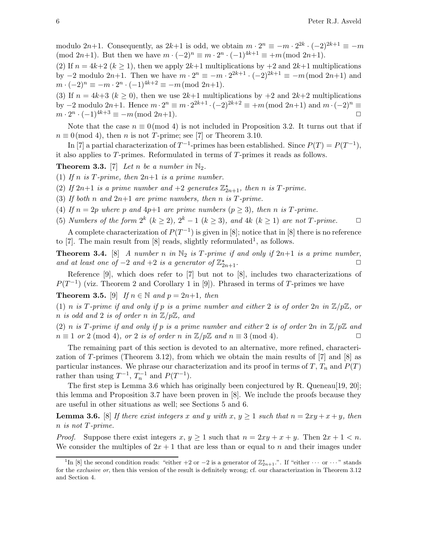modulo  $2n+1$ . Consequently, as  $2k+1$  is odd, we obtain  $m \cdot 2^n \equiv -m \cdot 2^{2k} \cdot (-2)^{2k+1} \equiv -m$ (mod 2n+1). But then we have  $m \cdot (-2)^n \equiv m \cdot 2^n \cdot (-1)^{4k+1} \equiv +m \pmod{2n+1}$ .

(2) If  $n = 4k+2$  ( $k \ge 1$ ), then we apply  $2k+1$  multiplications by  $+2$  and  $2k+1$  multiplications by  $-2$  modulo  $2n+1$ . Then we have  $m \cdot 2^n \equiv -m \cdot 2^{2k+1} \cdot (-2)^{2k+1} \equiv -m \pmod{2n+1}$  and  $m \cdot (-2)^n \equiv -m \cdot 2^n \cdot (-1)^{4k+2} \equiv -m \pmod{2n+1}.$ 

(3) If  $n = 4k+3$  ( $k \ge 0$ ), then we use  $2k+1$  multiplications by  $+2$  and  $2k+2$  multiplications by  $-2$  modulo  $2n+1$ . Hence  $m \cdot 2^n \equiv m \cdot 2^{2k+1} \cdot (-2)^{2k+2} \equiv +m \pmod{2n+1}$  and  $m \cdot (-2)^n \equiv$  $m \cdot 2^n \cdot (-1)^{4k+3} \equiv -m \pmod{2n+1}.$ 

Note that the case  $n \equiv 0 \pmod{4}$  is not included in Proposition 3.2. It turns out that if  $n \equiv 0 \pmod{4}$ , then *n* is not *T*-prime; see [7] or Theorem 3.10.

In [7] a partial characterization of  $T^{-1}$ -primes has been established. Since  $P(T) = P(T^{-1})$ , it also applies to T-primes. Reformulated in terms of T-primes it reads as follows.

**Theorem 3.3.** [7] Let n be a number in  $\mathbb{N}_2$ .

- (1) If n is T-prime, then  $2n+1$  is a prime number.
- (2) If  $2n+1$  is a prime number and  $+2$  generates  $\mathbb{Z}_{2n+1}^{\star}$ , then n is T-prime.
- (3) If both n and  $2n+1$  are prime numbers, then n is T-prime.
- (4) If  $n = 2p$  where p and  $4p+1$  are prime numbers  $(p \ge 3)$ , then n is T-prime.
- (5) Numbers of the form  $2^k$   $(k \geq 2)$ ,  $2^k 1$   $(k \geq 3)$ , and  $4k$   $(k \geq 1)$  are not T-prime.  $\Box$

A complete characterization of  $P(T^{-1})$  is given in [8]; notice that in [8] there is no reference to [7]. The main result from [8] reads, slightly reformulated<sup>1</sup>, as follows.

**Theorem 3.4.** [8] A number n in  $\mathbb{N}_2$  is T-prime if and only if  $2n+1$  is a prime number, and at least one of  $-2$  and  $+2$  is a generator of  $\mathbb{Z}_2^*$  $x_{2n+1}$ .

Reference [9], which does refer to [7] but not to [8], includes two characterizations of  $P(T^{-1})$  (viz. Theorem 2 and Corollary 1 in [9]). Phrased in terms of T-primes we have

**Theorem 3.5.** [9] If  $n \in \mathbb{N}$  and  $p = 2n+1$ , then

(1) n is T-prime if and only if p is a prime number and either 2 is of order  $2n$  in  $\mathbb{Z}/p\mathbb{Z}$ , or n is odd and 2 is of order n in  $\mathbb{Z}/p\mathbb{Z}$ , and

(2) n is T-prime if and only if p is a prime number and either 2 is of order  $2n$  in  $\mathbb{Z}/p\mathbb{Z}$  and  $n \equiv 1 \text{ or } 2 \pmod{4}$ , or 2 is of order n in  $\mathbb{Z}/p\mathbb{Z}$  and  $n \equiv 3 \pmod{4}$ .

The remaining part of this section is devoted to an alternative, more refined, characterization of T-primes (Theorem 3.12), from which we obtain the main results of  $[7]$  and  $[8]$  as particular instances. We phrase our characterization and its proof in terms of T,  $T_n$  and  $P(T)$ rather than using  $T^{-1}$ ,  $T_n^{-1}$  and  $P(T^{-1})$ .

The first step is Lemma 3.6 which has originally been conjectured by R. Queneau[19, 20]; this lemma and Proposition 3.7 have been proven in [8]. We include the proofs because they are useful in other situations as well; see Sections 5 and 6.

**Lemma 3.6.** [8] If there exist integers x and y with x,  $y \ge 1$  such that  $n = 2xy + x + y$ , then n is not T-prime.

*Proof.* Suppose there exist integers  $x, y \ge 1$  such that  $n = 2xy + x + y$ . Then  $2x + 1 < n$ . We consider the multiples of  $2x + 1$  that are less than or equal to n and their images under

<sup>&</sup>lt;sup>1</sup>In [8] the second condition reads: "either +2 or -2 is a generator of  $\mathbb{Z}_{2n+1}^*$ .". If "either  $\cdots$  or  $\cdots$ " stands for the exclusive or, then this version of the result is definitely wrong; cf. our characterization in Theorem 3.12 and Section 4.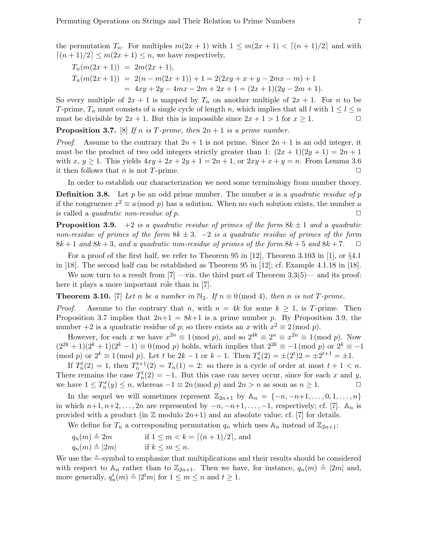$$
T_n(m(2x+1)) = 2m(2x+1),
$$
  
\n
$$
T_n(m(2x+1)) = 2(n-m(2x+1)) + 1 = 2(2xy + x + y - 2mx - m) + 1
$$
  
\n
$$
= 4xy + 2y - 4mx - 2m + 2x + 1 = (2x+1)(2y - 2m + 1).
$$

So every multiple of  $2x + 1$  is mapped by  $T_n$  on another multiple of  $2x + 1$ . For n to be T-prime,  $T_n$  must consists of a single cycle of length n, which implies that all l with  $1 \leq l \leq n$ must be divisible by  $2x + 1$ . But this is impossible since  $2x + 1 > 1$  for  $x > 1$ .

**Proposition 3.7.** [8] If n is T-prime, then  $2n + 1$  is a prime number.

*Proof.* Assume to the contrary that  $2n + 1$  is not prime. Since  $2n + 1$  is an odd integer, it must be the product of two odd integers strictly greater than 1:  $(2x+1)(2y+1) = 2n+1$ with x,  $y \ge 1$ . This yields  $4xy + 2x + 2y + 1 = 2n + 1$ , or  $2xy + x + y = n$ . From Lemma 3.6 it then follows that *n* is not *T*-prime.  $\Box$ 

In order to establish our characterization we need some terminology from number theory.

**Definition 3.8.** Let p be an odd prime number. The number a is a quadratic residue of p if the congruence  $x^2 \equiv a \pmod{p}$  has a solution. When no such solution exists, the number a is called a *quadratic non-residue of p*.  $\Box$ 

**Proposition 3.9.** +2 is a quadratic residue of primes of the form  $8k \pm 1$  and a quadratic non-residue of primes of the form  $8k \pm 3$ .  $-2$  is a quadratic residue of primes of the form  $8k+1$  and  $8k+3$ , and a quadratic non-residue of primes of the form  $8k+5$  and  $8k+7$ .  $\Box$ 

For a proof of the first half, we refer to Theorem 95 in [12], Theorem 3.103 in [1], or §4.1 in [18]. The second half can be established as Theorem 95 in [12]; cf. Example 4.1.18 in [18].

We now turn to a result from  $|7|$  —viz. the third part of Theorem 3.3(5)— and its proof: here it plays a more important role than in [7].

**Theorem 3.10.** [7] Let n be a number in  $\mathbb{N}_2$ . If  $n \equiv 0 \pmod{4}$ , then n is not T-prime.

*Proof.* Assume to the contrary that n, with  $n = 4k$  for some  $k \ge 1$ , is T-prime. Then Proposition 3.7 implies that  $2n+1 = 8k+1$  is a prime number p. By Proposition 3.9, the number  $+2$  is a quadratic residue of p; so there exists an x with  $x^2 \equiv 2 \pmod{p}$ .

However, for each x we have  $x^{2n} \equiv 1 \pmod{p}$ , and so  $2^{4k} \equiv 2^n \equiv x^{2n} \equiv 1 \pmod{p}$ . Now  $(2^{2k}+1)(2^k+1)(2^k-1) \equiv 0 \pmod{p}$  holds, which implies that  $2^{2k} \equiv -1 \pmod{p}$  or  $2^k \equiv -1$  $p \mod{p}$  or  $2^k \equiv 1 \pmod{p}$ . Let t be  $2k - 1$  or  $k - 1$ . Then  $T_n^t(2) = \pm (2^t)2 = \pm 2^{t+1} = \pm 1$ .

If  $T_n^t(2) = 1$ , then  $T_n^{t+1}(2) = T_n(1) = 2$ : so there is a cycle of order at most  $t + 1 < n$ . There remains the case  $T_n^t(2) = -1$ . But this case can never occur, since for each x and y, we have  $1 \leq T_n^x(y) \leq n$ , whereas  $-1 \equiv 2n \pmod{p}$  and  $2n > n$  as soon as  $n \geq 1$ .

In the sequel we will sometimes represent  $\mathbb{Z}_{2n+1}$  by  $\mathbb{A}_n = \{-n, -n+1, \ldots, 0, 1, \ldots, n\}$ in which  $n+1, n+2, \ldots, 2n$  are represented by  $-n, -n+1, \ldots, -1$ , respectively; cf. [7].  $\mathbb{A}_n$  is provided with a product (in  $\mathbb Z$  modulo  $2n+1$ ) and an absolute value; cf. [7] for details.

We define for  $T_n$  a corresponding permutation  $q_n$  which uses  $\mathbb{A}_n$  instead of  $\mathbb{Z}_{2n+1}$ :

$$
q_n(m) \triangleq 2m \qquad \text{if } 1 \le m < k = \lceil (n+1)/2 \rceil, \text{ and}
$$
  

$$
q_n(m) \triangleq |2m| \qquad \text{if } k \le m \le n.
$$

We use the  $\triangleq$ -symbol to emphasize that multiplications and their results should be considered with respect to  $\mathbb{A}_n$  rather than to  $\mathbb{Z}_{2n+1}$ . Then we have, for instance,  $q_n(m) \triangleq |2m|$  and, more generally,  $q_n^t(m) \triangleq |2^t m|$  for  $1 \le m \le n$  and  $t \ge 1$ .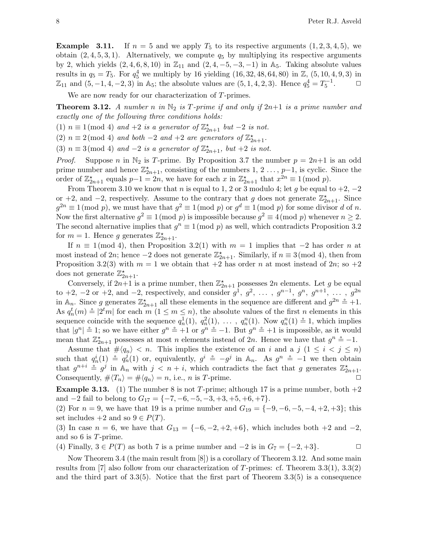**Example 3.11.** If  $n = 5$  and we apply  $T_5$  to its respective arguments  $(1, 2, 3, 4, 5)$ , we obtain  $(2, 4, 5, 3, 1)$ . Alternatively, we compute  $q_5$  by multiplying its respective arguments by 2, which yields  $(2, 4, 6, 8, 10)$  in  $\mathbb{Z}_{11}$  and  $(2, 4, -5, -3, -1)$  in A<sub>5</sub>. Taking absolute values results in  $q_5 = T_5$ . For  $q_5^4$  we multiply by 16 yielding  $(16, 32, 48, 64, 80)$  in  $\mathbb{Z}, (5, 10, 4, 9, 3)$  in  $\mathbb{Z}_{11}$  and  $(5, -1, 4, -2, 3)$  in A<sub>5</sub>; the absolute values are  $(5, 1, 4, 2, 3)$ . Hence  $q_5^4 = T_5^{-1}$  $\Box$ 

We are now ready for our characterization of T-primes.

**Theorem 3.12.** A number n in  $\mathbb{N}_2$  is T-prime if and only if  $2n+1$  is a prime number and exactly one of the following three conditions holds:

(1)  $n \equiv 1 \pmod{4}$  and  $+2$  is a generator of  $\mathbb{Z}_{2n+1}^{\star}$  but  $-2$  is not.

(2)  $n \equiv 2 \pmod{4}$  and both  $-2$  and  $+2$  are generators of  $\mathbb{Z}_{2n+1}^{\star}$ .

(3)  $n \equiv 3 \pmod{4}$  and  $-2$  is a generator of  $\mathbb{Z}_{2n+1}^{\star}$ , but  $+2$  is not.

*Proof.* Suppose n in  $\mathbb{N}_2$  is T-prime. By Proposition 3.7 the number  $p = 2n+1$  is an odd prime number and hence  $\mathbb{Z}_{2n+1}^{\star}$ , consisting of the numbers 1, 2 ..., p-1, is cyclic. Since the order of  $\mathbb{Z}_{2n+1}^{\star}$  equals  $p-1=2n$ , we have for each x in  $\mathbb{Z}_{2n+1}^{\star}$  that  $x^{2n} \equiv 1 \pmod{p}$ .

From Theorem 3.10 we know that n is equal to 1, 2 or 3 modulo 4; let g be equal to  $+2$ ,  $-2$ or +2, and -2, respectively. Assume to the contrary that g does not generate  $\mathbb{Z}_{2n+1}^{\star}$ . Since  $g^{2n} \equiv 1 \pmod{p}$ , we must have that  $g^2 \equiv 1 \pmod{p}$  or  $g^d \equiv 1 \pmod{p}$  for some divisor d of n. Now the first alternative  $g^2 \equiv 1 \pmod{p}$  is impossible because  $g^2 \equiv 4 \pmod{p}$  whenever  $n \geq 2$ . The second alternative implies that  $g^n \equiv 1 \pmod{p}$  as well, which contradicts Proposition 3.2 for  $m = 1$ . Hence g generates  $\mathbb{Z}_{2n+1}^{\star}$ .

If  $n \equiv 1 \pmod{4}$ , then Proposition 3.2(1) with  $m = 1$  implies that  $-2$  has order n at most instead of 2n; hence  $-2$  does not generate  $\mathbb{Z}_{2n+1}^{\star}$ . Similarly, if  $n \equiv 3 \pmod{4}$ , then from Proposition 3.2(3) with  $m = 1$  we obtain that  $+2$  has order n at most instead of  $2n$ ; so  $+2$ does not generate  $\mathbb{Z}_{2n+1}^*$ .

Conversely, if  $2n+1$  is a prime number, then  $\mathbb{Z}_{2n+1}^{\star}$  possesses  $2n$  elements. Let g be equal to +2, -2 or +2, and -2, respectively, and consider  $g^1, g^2, \ldots, g^{n-1}, g^n, g^{n+1}, \ldots, g^{2n}$ in  $\mathbb{A}_n$ . Since g generates  $\mathbb{Z}_{2n+1}^*$  all these elements in the sequence are different and  $g^{2n} \triangleq +1$ . As  $q_n^t(m) \triangleq |2^t m|$  for each  $m (1 \leq m \leq n)$ , the absolute values of the first n elements in this sequence coincide with the sequence  $q_n^1(1)$ ,  $q_n^2(1)$ , ...,  $q_n^n(1)$ . Now  $q_n^n(1) \stackrel{\sim}{=} 1$ , which implies that  $|g^n| \stackrel{\circ}{=} 1$ ; so we have either  $g^n \stackrel{\circ}{=} +1$  or  $g^n \stackrel{\circ}{=} -1$ . But  $g^n \stackrel{\circ}{=} +1$  is impossible, as it would mean that  $\mathbb{Z}_{2n+1}^{\star}$  possesses at most n elements instead of 2n. Hence we have that  $g^{n} \doteq -1$ .

Assume that  $\# \langle q_n \rangle < n$ . This implies the existence of an i and a j  $(1 \leq i \leq j \leq n)$ such that  $q_n^i(1) \triangleq q_n^j(1)$  or, equivalently,  $g^i \triangleq -g^j$  in  $\mathbb{A}_n$ . As  $g^n \triangleq -1$  we then obtain that  $g^{n+i} \triangleq g^j$  in  $\mathbb{A}_n$  with  $j < n + i$ , which contradicts the fact that g generates  $\mathbb{Z}_{2n+1}^{\star}$ . Consequently,  $\# \langle T_n \rangle = \# \langle q_n \rangle = n$ , i.e., n is T-prime.

**Example 3.13.** (1) The number 8 is not T-prime; although 17 is a prime number, both  $+2$ and  $-2$  fail to belong to  $G_{17} = \{-7, -6, -5, -3, +3, +5, +6, +7\}.$ 

(2) For  $n = 9$ , we have that 19 is a prime number and  $G_{19} = \{-9, -6, -5, -4, +2, +3\}$ ; this set includes  $+2$  and so  $9 \in P(T)$ .

(3) In case  $n = 6$ , we have that  $G_{13} = \{-6, -2, +2, +6\}$ , which includes both  $+2$  and  $-2$ , and so 6 is T-prime.

(4) Finally,  $3 \in P(T)$  as both 7 is a prime number and  $-2$  is in  $G_7 = \{-2, +3\}.$ 

Now Theorem 3.4 (the main result from [8]) is a corollary of Theorem 3.12. And some main results from [7] also follow from our characterization of T-primes: cf. Theorem  $3.3(1)$ ,  $3.3(2)$ and the third part of  $3.3(5)$ . Notice that the first part of Theorem  $3.3(5)$  is a consequence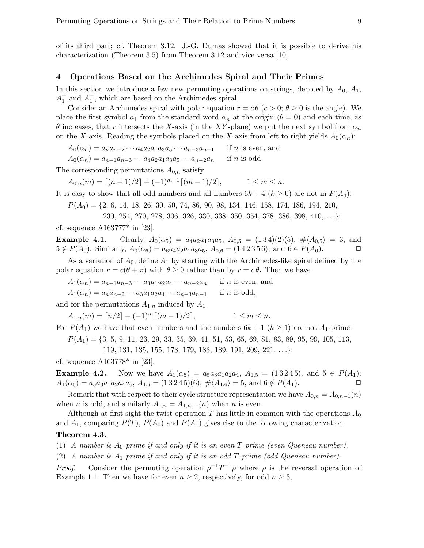of its third part; cf. Theorem 3.12. J.-G. Dumas showed that it is possible to derive his characterization (Theorem 3.5) from Theorem 3.12 and vice versa [10].

### 4 Operations Based on the Archimedes Spiral and Their Primes

In this section we introduce a few new permuting operations on strings, denoted by  $A_0$ ,  $A_1$ ,  $A_1^+$  and  $A_1^-$ , which are based on the Archimedes spiral.

Consider an Archimedes spiral with polar equation  $r = c\theta$  ( $c > 0$ ;  $\theta \ge 0$  is the angle). We place the first symbol  $a_1$  from the standard word  $\alpha_n$  at the origin  $(\theta = 0)$  and each time, as θ increases, that r intersects the X-axis (in the XY-plane) we put the next symbol from  $α_n$ on the X-axis. Reading the symbols placed on the X-axis from left to right yields  $A_0(\alpha_n)$ :

 $A_0(\alpha_n) = a_n a_{n-2} \cdots a_4 a_2 a_1 a_3 a_5 \cdots a_{n-3} a_{n-1}$  if *n* is even, and

$$
A_0(\alpha_n) = a_{n-1}a_{n-3}\cdots a_4a_2a_1a_3a_5\cdots a_{n-2}a_n \quad \text{if } n \text{ is odd.}
$$

The corresponding permutations  $A_{0,n}$  satisfy

 $A_{0,n}(m) = \lceil (n+1)/2 \rceil + (-1)^{m-1} \lceil (m-1)/2 \rceil, \qquad 1 \le m \le n.$ 

It is easy to show that all odd numbers and all numbers  $6k + 4$   $(k \ge 0)$  are not in  $P(A_0)$ :

 $P(A_0) = \{2, 6, 14, 18, 26, 30, 50, 74, 86, 90, 98, 134, 146, 158, 174, 186, 194, 210,$ 

230, 254, 270, 278, 306, 326, 330, 338, 350, 354, 378, 386, 398, 410, . . .};

cf. sequence A163777\* in [23].

Example 4.1. Clearly,  $A_0(\alpha_5) = a_4a_2a_1a_3a_5$ ,  $A_{0.5} = (134)(2)(5)$ ,  $\# \langle A_{0.5} \rangle = 3$ , and  $5 \notin P(A_0)$ . Similarly,  $A_0(\alpha_6) = a_6a_4a_2a_1a_3a_5$ ,  $A_{0.6} = (1\ 4\ 2\ 3\ 5\ 6)$ , and  $6 \in P(A_0)$ .

As a variation of  $A_0$ , define  $A_1$  by starting with the Archimedes-like spiral defined by the polar equation  $r = c(\theta + \pi)$  with  $\theta \ge 0$  rather than by  $r = c\theta$ . Then we have

 $A_1(\alpha_n) = a_{n-1}a_{n-3}\cdots a_3a_1a_2a_4\cdots a_{n-2}a_n$  if *n* is even, and

$$
A_1(\alpha_n) = a_n a_{n-2} \cdots a_3 a_1 a_2 a_4 \cdots a_{n-3} a_{n-1}
$$
 if *n* is odd,

and for the permutations  $A_{1,n}$  induced by  $A_1$ 

$$
A_{1,n}(m) = \lceil n/2 \rceil + (-1)^m \lceil (m-1)/2 \rceil, \qquad 1 \le m \le n.
$$

For  $P(A_1)$  we have that even numbers and the numbers  $6k + 1$  ( $k \ge 1$ ) are not  $A_1$ -prime:

 $P(A_1) = \{3, 5, 9, 11, 23, 29, 33, 35, 39, 41, 51, 53, 65, 69, 81, 83, 89, 95, 99, 105, 113,$ 

$$
119, 131, 135, 155, 173, 179, 183, 189, 191, 209, 221, \ldots \};
$$

cf. sequence A163778\* in [23].

**Example 4.2.** Now we have  $A_1(\alpha_5) = a_5a_3a_1a_2a_4$ ,  $A_{1,5} = (13245)$ , and  $5 \in P(A_1)$ ;  $A_1(\alpha_6) = a_5a_3a_1a_2a_4a_6, A_{1,6} = (13245)(6), \# \langle A_{1,6} \rangle = 5, \text{ and } 6 \notin P(A_1).$ 

Remark that with respect to their cycle structure representation we have  $A_{0,n} = A_{0,n-1}(n)$ when *n* is odd, and similarly  $A_{1,n} = A_{1,n-1}(n)$  when *n* is even.

Although at first sight the twist operation T has little in common with the operations  $A_0$ and  $A_1$ , comparing  $P(T)$ ,  $P(A_0)$  and  $P(A_1)$  gives rise to the following characterization. Theorem 4.3.

(1) A number is  $A_0$ -prime if and only if it is an even  $T$ -prime (even Queneau number).

(2) A number is  $A_1$ -prime if and only if it is an odd  $T$ -prime (odd Queneau number).

*Proof.* Consider the permuting operation  $\rho^{-1}T^{-1}\rho$  where  $\rho$  is the reversal operation of Example 1.1. Then we have for even  $n \geq 2$ , respectively, for odd  $n \geq 3$ ,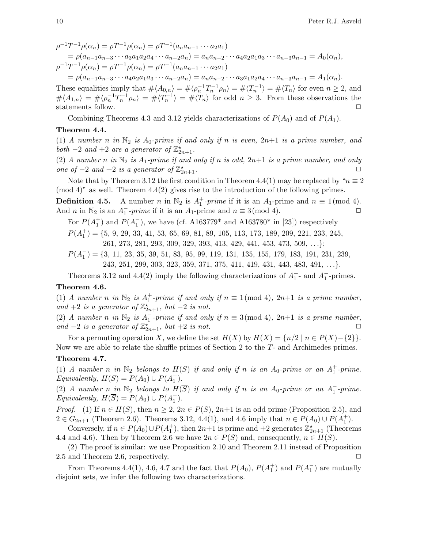$$
\rho^{-1}T^{-1}\rho(\alpha_n) = \rho T^{-1}\rho(\alpha_n) = \rho T^{-1}(a_n a_{n-1} \cdots a_2 a_1)
$$
  
=  $\rho(a_{n-1}a_{n-3} \cdots a_3 a_1 a_2 a_4 \cdots a_{n-2} a_n) = a_n a_{n-2} \cdots a_4 a_2 a_1 a_3 \cdots a_{n-3} a_{n-1} = A_0(\alpha_n),$   
 $\rho^{-1}T^{-1}\rho(\alpha_n) = \rho T^{-1}\rho(\alpha_n) = \rho T^{-1}(a_n a_{n-1} \cdots a_2 a_1)$   
=  $\rho(a_{n-1}a_{n-3} \cdots a_4 a_2 a_1 a_3 \cdots a_{n-2} a_n) = a_n a_{n-2} \cdots a_3 a_1 a_2 a_4 \cdots a_{n-3} a_{n-1} = A_1(\alpha_n).$ 

These equalities imply that  $\# \langle A_{0,n} \rangle = \# \langle \rho_n^{-1} T_n^{-1} \rho_n \rangle = \# \langle T_n^{-1} \rangle = \# \langle T_n \rangle$  for even  $n \geq 2$ , and  $\# \langle A_{1,n} \rangle = \# \langle \rho_n^{-1} T_n^{-1} \rho_n \rangle = \# \langle T_n^{-1} \rangle = \# \langle T_n \rangle$  for odd  $n \geq 3$ . From these observations the statements follow.  $\hfill \Box$ 

Combining Theorems 4.3 and 3.12 yields characterizations of  $P(A_0)$  and of  $P(A_1)$ .

#### Theorem 4.4.

(1) A number n in  $\mathbb{N}_2$  is  $A_0$ -prime if and only if n is even,  $2n+1$  is a prime number, and both  $-2$  and  $+2$  are a generator of  $\mathbb{Z}_{2n+1}^{\star}$ .

(2) A number n in  $\mathbb{N}_2$  is  $A_1$ -prime if and only if n is odd,  $2n+1$  is a prime number, and only one of  $-2$  and  $+2$  is a generator of  $\mathbb{Z}_2^*$  $x_{2n+1}$ .

Note that by Theorem 3.12 the first condition in Theorem 4.4(1) may be replaced by " $n \equiv 2$  $\pmod{4}$ " as well. Theorem  $4.4(2)$  gives rise to the introduction of the following primes.

**Definition 4.5.** A number n in  $\mathbb{N}_2$  is  $A_1^+$ -prime if it is an  $A_1$ -prime and  $n \equiv 1 \pmod{4}$ . And *n* in  $\mathbb{N}_2$  is an  $A_1^-$ -prime if it is an  $A_1$ -prime and  $n \equiv 3 \pmod{4}$ .

For  $P(A_1^+)$  and  $P(A_1^-)$ , we have (cf. A163779<sup>\*</sup> and A163780<sup>\*</sup> in [23]) respectively

 $P(A<sub>1</sub><sup>+</sup>) = \{5, 9, 29, 33, 41, 53, 65, 69, 81, 89, 105, 113, 173, 189, 209, 221, 233, 245,$ 261, 273, 281, 293, 309, 329, 393, 413, 429, 441, 453, 473, 509, . . .};

 $P(A_1^-) = \{3, 11, 23, 35, 39, 51, 83, 95, 99, 119, 131, 135, 155, 179, 183, 191, 231, 239,$ 243, 251, 299, 303, 323, 359, 371, 375, 411, 419, 431, 443, 483, 491, . . .}.

Theorems 3.12 and 4.4(2) imply the following characterizations of  $A_1^+$ - and  $A_1^-$ -primes.

#### Theorem 4.6.

(1) A number n in  $\mathbb{N}_2$  is  $A_1^+$ -prime if and only if  $n \equiv 1 \pmod{4}$ ,  $2n+1$  is a prime number, and +2 is a generator of  $\mathbb{Z}_{2n+1}^{\times}$ , but -2 is not.

(2) A number n in  $\mathbb{N}_2$  is  $A_1^-$ -prime if and only if  $n \equiv 3 \pmod{4}$ ,  $2n+1$  is a prime number, and  $-2$  is a generator of  $\mathbb{Z}_{2n+1}^{\star}$ , but  $+2$  is not.

For a permuting operation X, we define the set  $H(X)$  by  $H(X) = \{n/2 \mid n \in P(X) - \{2\}\}.$ Now we are able to relate the shuffle primes of Section 2 to the T- and Archimedes primes.

#### Theorem 4.7.

(1) A number n in  $\mathbb{N}_2$  belongs to  $H(S)$  if and only if n is an  $A_0$ -prime or an  $A_1^+$ -prime. Equivalently,  $H(S) = P(A_0) \cup P(A_1^+)$ .

(2) A number  $n_in\ N_2$  belongs to  $H(\overline{S})$  if and only if n is an  $A_0$ -prime or an  $A_1^-$ -prime. Equivalently,  $H(\overline{S}) = P(A_0) \cup P(A_1^-)$ .

*Proof.* (1) If  $n \in H(S)$ , then  $n \geq 2$ ,  $2n \in P(S)$ ,  $2n+1$  is an odd prime (Proposition 2.5), and 2 ∈  $G_{2n+1}$  (Theorem 2.6). Theorems 3.12, 4.4(1), and 4.6 imply that  $n \in P(A_0) \cup P(A_1^+)$ .

Conversely, if  $n \in P(A_0) \cup P(A_1^+)$ , then  $2n+1$  is prime and  $+2$  generates  $\mathbb{Z}_{2n+1}^*$  (Theorems 4.4 and 4.6). Then by Theorem 2.6 we have  $2n \in P(S)$  and, consequently,  $n \in H(S)$ .

(2) The proof is similar: we use Proposition 2.10 and Theorem 2.11 instead of Proposition 2.5 and Theorem 2.6, respectively.  $\Box$ 

From Theorems 4.4(1), 4.6, 4.7 and the fact that  $P(A_0)$ ,  $P(A_1^+)$  and  $P(A_1^-)$  are mutually disjoint sets, we infer the following two characterizations.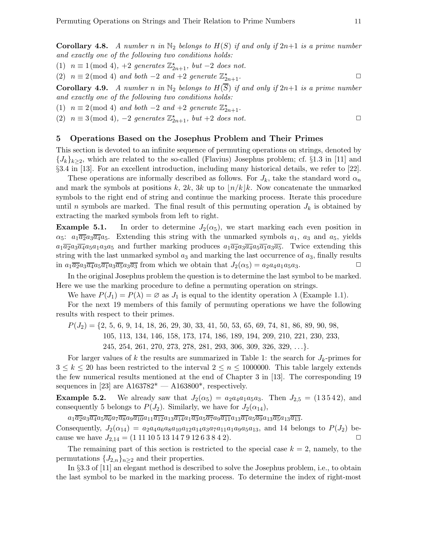**Corollary 4.8.** A number n in  $\mathbb{N}_2$  belongs to  $H(S)$  if and only if  $2n+1$  is a prime number and exactly one of the following two conditions holds:

(1)  $n \equiv 1 \pmod{4}$ , +2 generates  $\mathbb{Z}_{2n+1}^{\star}$ , but -2 does not.

(2)  $n \equiv 2 \pmod{4}$  and both  $-2$  and  $+2$  generate  $\mathbb{Z}_{2n+1}^{\star}$ .

**Corollary 4.9.** A number n in  $\mathbb{N}_2$  belongs to  $H(\overline{S})$  if and only if  $2n+1$  is a prime number and exactly one of the following two conditions holds:

(1)  $n \equiv 2 \pmod{4}$  and both -2 and +2 generate  $\mathbb{Z}_{2n+1}^{\star}$ .

(2)  $n \equiv 3 \pmod{4}$ ,  $-2$  generates  $\mathbb{Z}_{2n+1}^{\star}$ , but  $+2$  does not.

### 5 Operations Based on the Josephus Problem and Their Primes

This section is devoted to an infinite sequence of permuting operations on strings, denoted by  $\{J_k\}_{k\geq 2}$ , which are related to the so-called (Flavius) Josephus problem; cf. §1.3 in [11] and §3.4 in [13]. For an excellent introduction, including many historical details, we refer to [22].

These operations are informally described as follows. For  $J_k$ , take the standard word  $\alpha_n$ and mark the symbols at positions k, 2k, 3k up to  $\lfloor n/k \rfloor k$ . Now concatenate the unmarked symbols to the right end of string and continue the marking process. Iterate this procedure until n symbols are marked. The final result of this permuting operation  $J_k$  is obtained by extracting the marked symbols from left to right.

**Example 5.1.** In order to determine  $J_2(\alpha_5)$ , we start marking each even position in  $\alpha_5$ :  $a_1\overline{a_2}a_3\overline{a_4}a_5$ . Extending this string with the unmarked symbols  $a_1$ ,  $a_3$  and  $a_5$ , yields  $a_1\overline{a_2}a_3\overline{a_4}a_5a_1a_3a_5$  and further marking produces  $a_1\overline{a_2}a_3\overline{a_4}a_5\overline{a_1}a_3\overline{a_5}$ . Twice extending this string with the last unmarked symbol  $a_3$  and marking the last occurrence of  $a_3$ , finally results in  $a_1\overline{a_2}a_3\overline{a_4}a_5\overline{a_1}a_3\overline{a_5}a_3\overline{a_3}$  from which we obtain that  $J_2(\alpha_5) = a_2a_4a_1a_5a_3$ .

In the original Josephus problem the question is to determine the last symbol to be marked. Here we use the marking procedure to define a permuting operation on strings.

We have  $P(J_1) = P(\lambda) = \emptyset$  as  $J_1$  is equal to the identity operation  $\lambda$  (Example 1.1).

For the next 19 members of this family of permuting operations we have the following results with respect to their primes.

 $P(J_2) = \{2, 5, 6, 9, 14, 18, 26, 29, 30, 33, 41, 50, 53, 65, 69, 74, 81, 86, 89, 90, 98,$ 105, 113, 134, 146, 158, 173, 174, 186, 189, 194, 209, 210, 221, 230, 233, 245, 254, 261, 270, 273, 278, 281, 293, 306, 309, 326, 329, . . .}.

For larger values of k the results are summarized in Table 1: the search for  $J_k$ -primes for  $3 \leq k \leq 20$  has been restricted to the interval  $2 \leq n \leq 1000000$ . This table largely extends the few numerical results mentioned at the end of Chapter 3 in [13]. The corresponding 19 sequences in [23] are  $A163782^* - A163800^*$ , respectively.

**Example 5.2.** We already saw that  $J_2(\alpha_5) = a_2 a_4 a_1 a_5 a_3$ . Then  $J_{2,5} = (13542)$ , and consequently 5 belongs to  $P(J_2)$ . Similarly, we have for  $J_2(\alpha_{14})$ ,

 $a_1\overline{a_2}a_3\overline{a_4}a_5\overline{a_6}a_7\overline{a_8}a_9\overline{a_{10}}a_{11}\overline{a_{12}}a_{13}\overline{a_{14}}a_1\overline{a_3}a_5\overline{a_7}a_9\overline{a_{11}}a_{13}\overline{a_1}a_5\overline{a_9}a_{13}\overline{a_5}a_{13}\overline{a_{13}}.$ 

Consequently,  $J_2(\alpha_{14}) = a_2 a_4 a_6 a_8 a_{10} a_{12} a_{14} a_3 a_7 a_{11} a_1 a_9 a_5 a_{13}$ , and 14 belongs to  $P(J_2)$  because we have  $J_{2,14} = (1111051314791263842)$ .

The remaining part of this section is restricted to the special case  $k = 2$ , namely, to the permutations  ${J_{2,n}}_{n\geq 2}$  and their properties.

In §3.3 of [11] an elegant method is described to solve the Josephus problem, i.e., to obtain the last symbol to be marked in the marking process. To determine the index of right-most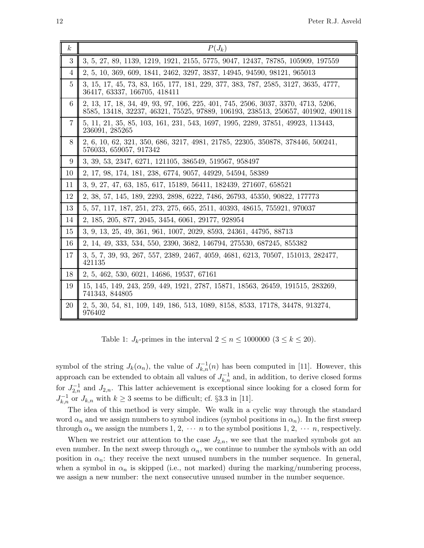| $\boldsymbol{k}$ | $P(J_k)$                                                                                                                                                            |
|------------------|---------------------------------------------------------------------------------------------------------------------------------------------------------------------|
| 3                | 3, 5, 27, 89, 1139, 1219, 1921, 2155, 5775, 9047, 12437, 78785, 105909, 197559                                                                                      |
| 4                | 2, 5, 10, 369, 609, 1841, 2462, 3297, 3837, 14945, 94590, 98121, 965013                                                                                             |
| 5                | 3, 15, 17, 45, 73, 83, 165, 177, 181, 229, 377, 383, 787, 2585, 3127, 3635, 4777,<br>36417, 63337, 166705, 418411                                                   |
| $6\phantom{.}6$  | 2, 13, 17, 18, 34, 49, 93, 97, 106, 225, 401, 745, 2506, 3037, 3370, 4713, 5206,<br>8585, 13418, 32237, 46321, 75525, 97889, 106193, 238513, 250657, 401902, 490118 |
| 7                | 5, 11, 21, 35, 85, 103, 161, 231, 543, 1697, 1995, 2289, 37851, 49923, 113443,<br>236091, 285265                                                                    |
| 8                | 2, 6, 10, 62, 321, 350, 686, 3217, 4981, 21785, 22305, 350878, 378446, 500241,<br>576033, 659057, 917342                                                            |
| 9                | 3, 39, 53, 2347, 6271, 121105, 386549, 519567, 958497                                                                                                               |
| 10               | 2, 17, 98, 174, 181, 238, 6774, 9057, 44929, 54594, 58389                                                                                                           |
| 11               | 3, 9, 27, 47, 63, 185, 617, 15189, 56411, 182439, 271607, 658521                                                                                                    |
| 12               | 2, 38, 57, 145, 189, 2293, 2898, 6222, 7486, 26793, 45350, 90822, 177773                                                                                            |
| 13               | 5, 57, 117, 187, 251, 273, 275, 665, 2511, 40393, 48615, 755921, 970037                                                                                             |
| 14               | 2, 185, 205, 877, 2045, 3454, 6061, 29177, 928954                                                                                                                   |
| 15               | 3, 9, 13, 25, 49, 361, 961, 1007, 2029, 8593, 24361, 44795, 88713                                                                                                   |
| 16               | 2, 14, 49, 333, 534, 550, 2390, 3682, 146794, 275530, 687245, 855382                                                                                                |
| 17               | 3, 5, 7, 39, 93, 267, 557, 2389, 2467, 4059, 4681, 6213, 70507, 151013, 282477,<br>421135                                                                           |
| 18               | 2, 5, 462, 530, 6021, 14686, 19537, 67161                                                                                                                           |
| 19               | 15, 145, 149, 243, 259, 449, 1921, 2787, 15871, 18563, 26459, 191515, 283269,<br>741343, 844805                                                                     |
| 20               | 2, 5, 30, 54, 81, 109, 149, 186, 513, 1089, 8158, 8533, 17178, 34478, 913274,<br>976402                                                                             |

Table 1:  $J_k$ -primes in the interval  $2 \le n \le 1000000$   $(3 \le k \le 20)$ .

symbol of the string  $J_k(\alpha_n)$ , the value of  $J_{k,n}^{-1}(n)$  has been computed in [11]. However, this approach can be extended to obtain all values of  $J_{k,n}^{-1}$  and, in addition, to derive closed forms for  $J_{2,n}^{-1}$  and  $J_{2,n}$ . This latter achievement is exceptional since looking for a closed form for  $J_{k,n}^{-1}$  or  $J_{k,n}$  with  $k \geq 3$  seems to be difficult; cf. §3.3 in [11].

The idea of this method is very simple. We walk in a cyclic way through the standard word  $\alpha_n$  and we assign numbers to symbol indices (symbol positions in  $\alpha_n$ ). In the first sweep through  $\alpha_n$  we assign the numbers 1, 2,  $\cdots$  *n* to the symbol positions 1, 2,  $\cdots$  *n*, respectively.

When we restrict our attention to the case  $J_{2,n}$ , we see that the marked symbols got an even number. In the next sweep through  $\alpha_n$ , we continue to number the symbols with an odd position in  $\alpha_n$ : they receive the next unused numbers in the number sequence. In general, when a symbol in  $\alpha_n$  is skipped (i.e., not marked) during the marking/numbering process, we assign a new number: the next consecutive unused number in the number sequence.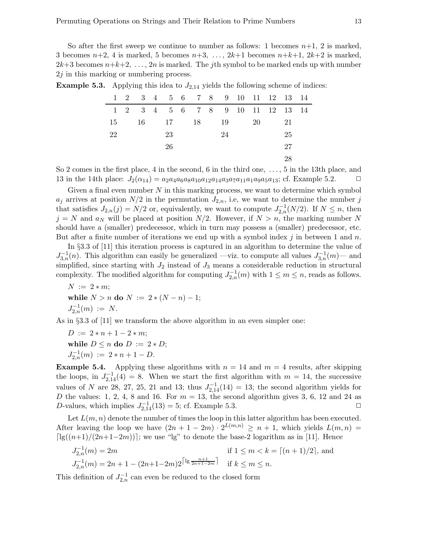So after the first sweep we continue to number as follows: 1 becomes  $n+1$ , 2 is marked, 3 becomes  $n+2$ , 4 is marked, 5 becomes  $n+3$ , ...,  $2k+1$  becomes  $n+k+1$ ,  $2k+2$  is marked,  $2k+3$  becomes  $n+k+2, \ldots, 2n$  is marked. The jth symbol to be marked ends up with number  $2j$  in this marking or numbering process.

| <b>Example 5.3.</b> Applying this idea to $J_{2,14}$ yields the following scheme of indices: |  |  |  |  |
|----------------------------------------------------------------------------------------------|--|--|--|--|
|                                                                                              |  |  |  |  |

|    |  |    | $1 \quad 2 \quad 3 \quad 4 \quad 5 \quad 6 \quad 7 \quad 8 \quad 9 \quad 10 \quad 11 \quad 12 \quad 13 \quad 14$ |    |    |    |  |
|----|--|----|------------------------------------------------------------------------------------------------------------------|----|----|----|--|
|    |  |    | 1 2 3 4 5 6 7 8 9 10 11 12 13 14                                                                                 |    |    |    |  |
| 15 |  |    | 16 17 18                                                                                                         | 19 | 20 | 21 |  |
| 22 |  | 23 |                                                                                                                  | 24 |    | 25 |  |
|    |  | 26 |                                                                                                                  |    |    | 27 |  |
|    |  |    |                                                                                                                  |    |    | 28 |  |
|    |  |    |                                                                                                                  |    |    |    |  |

So 2 comes in the first place, 4 in the second, 6 in the third one, . . . , 5 in the 13th place, and 13 in the 14th place:  $J_2(\alpha_{14}) = a_2 a_4 a_6 a_8 a_{10} a_{12} a_{14} a_3 a_7 a_{11} a_1 a_9 a_5 a_{13}$ ; cf. Example 5.2.  $\Box$ 

Given a final even number  $N$  in this marking process, we want to determine which symbol  $a_j$  arrives at position  $N/2$  in the permutation  $J_{2,n}$ , i.e, we want to determine the number j that satisfies  $J_{2,n}(j) = N/2$  or, equivalently, we want to compute  $J_{2,n}^{-1}(N/2)$ . If  $N \leq n$ , then  $j = N$  and  $a_N$  will be placed at position  $N/2$ . However, if  $N > n$ , the marking number N should have a (smaller) predecessor, which in turn may possess a (smaller) predecessor, etc. But after a finite number of iterations we end up with a symbol index j in between 1 and n.

In §3.3 of [11] this iteration process is captured in an algorithm to determine the value of  $J_{3,n}^{-1}(n)$ . This algorithm can easily be generalized —viz. to compute all values  $J_{3,n}^{-1}(m)$ — and simplified, since starting with  $J_2$  instead of  $J_3$  means a considerable reduction in structural complexity. The modified algorithm for computing  $J_{2,n}^{-1}(m)$  with  $1 \leq m \leq n$ , reads as follows.

 $N := 2 * m$ : while  $N > n$  do  $N := 2 * (N - n) - 1$ ;  $J_{2,n}^{-1}(m) := N.$ 

As in §3.3 of [11] we transform the above algorithm in an even simpler one:

 $D := 2 * n + 1 - 2 * m;$ while  $D \leq n$  do  $D := 2 * D;$  $J_{2,n}^{-1}(m) := 2*n+1-D.$ 

**Example 5.4.** Applying these algorithms with  $n = 14$  and  $m = 4$  results, after skipping the loops, in  $J_{2,14}^{-1}(4) = 8$ . When we start the first algorithm with  $m = 14$ , the successive values of N are 28, 27, 25, 21 and 13; thus  $J_{2,14}^{-1}(14) = 13$ ; the second algorithm yields for D the values: 1, 2, 4, 8 and 16. For  $m = 13$ , the second algorithm gives 3, 6, 12 and 24 as D-values, which implies  $J_{2,14}^{-1}(13) = 5$ ; cf. Example 5.3.

Let  $L(m, n)$  denote the number of times the loop in this latter algorithm has been executed. After leaving the loop we have  $(2n + 1 - 2m) \cdot 2^{L(m,n)} \ge n + 1$ , which yields  $L(m,n) =$  $\lceil \lg((n+1)/(2n+1-2m)) \rceil$ ; we use "lg" to denote the base-2 logarithm as in [11]. Hence

$$
J_{2,n}^{-1}(m) = 2m
$$
 if  $1 \le m < k = \lceil (n+1)/2 \rceil$ , and  

$$
J_{2,n}^{-1}(m) = 2n + 1 - (2n+1-2m)2^{\lceil \lg \frac{n+1}{2n+1-2m} \rceil}
$$
 if  $k \le m \le n$ .

This definition of  $J_{2,n}^{-1}$  can even be reduced to the closed form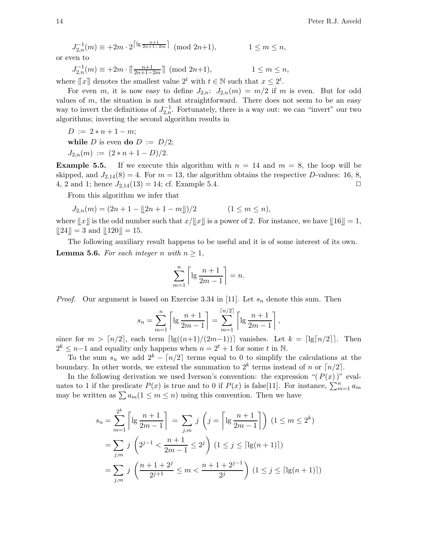$$
J_{2,n}^{-1}(m) \equiv +2m \cdot 2^{\lceil \lg \frac{n+1}{2n+1-2m} \rceil} \pmod{2n+1}, \qquad \qquad 1 \le m \le n,
$$

or even to

$$
J_{2,n}^{-1}(m) \equiv +2m \cdot \lceil \frac{n+1}{2n+1-2m} \rceil \pmod{2n+1}, \qquad \qquad 1 \le m \le n,
$$

where  $[[x]]$  denotes the smallest value  $2^t$  with  $t \in \mathbb{N}$  such that  $x \leq 2^t$ .

For even m, it is now easy to define  $J_{2,n}$ :  $J_{2,n}(m) = m/2$  if m is even. But for odd values of  $m$ , the situation is not that straightforward. There does not seem to be an easy way to invert the definitions of  $J_{2,n}^{-1}$ . Fortunately, there is a way out: we can "invert" our two algorithms; inverting the second algorithm results in

$$
D := 2*n+1-m;
$$

while D is even do  $D := D/2$ ;

$$
J_{2,n}(m) := (2*n+1-D)/2.
$$

**Example 5.5.** If we execute this algorithm with  $n = 14$  and  $m = 8$ , the loop will be skipped, and  $J_{2,14}(8) = 4$ . For  $m = 13$ , the algorithm obtains the respective D-values: 16, 8, 4, 2 and 1; hence  $J_{2,14}(13) = 14$ ; cf. Example 5.4.

From this algorithm we infer that

$$
J_{2,n}(m) = (2n + 1 - \lfloor 2n + 1 - m \rfloor)/2 \qquad (1 \le m \le n),
$$

where  $||x||$  is the odd number such that  $x/||x||$  is a power of 2. For instance, we have  $||16|| = 1$ ,  $||24|| = 3$  and  $||120|| = 15$ .

The following auxiliary result happens to be useful and it is of some interest of its own. **Lemma 5.6.** For each integer n with  $n \geq 1$ ,

$$
\sum_{m=1}^{n} \left\lceil \lg \frac{n+1}{2m-1} \right\rceil = n.
$$

*Proof.* Our argument is based on Exercise 3.34 in [11]. Let  $s_n$  denote this sum. Then

$$
s_n = \sum_{m=1}^n \left[ \lg \frac{n+1}{2m-1} \right] = \sum_{m=1}^{\lceil n/2 \rceil} \left[ \lg \frac{n+1}{2m-1} \right],
$$

since for  $m > \lceil n/2 \rceil$ , each term  $\lceil \lg((n+1)/(2m-1)) \rceil$  vanishes. Let  $k = \lceil \lg(n/2) \rceil$ . Then  $2^k$  ≤ n−1 and equality only happens when  $n = 2^t + 1$  for some t in N.

To the sum  $s_n$  we add  $2^k - \lfloor n/2 \rfloor$  terms equal to 0 to simplify the calculations at the boundary. In other words, we extend the summation to  $2^k$  terms instead of n or  $\lceil n/2 \rceil$ .

In the following derivation we used Iverson's convention: the expression " $(P(x))$ " evaluates to 1 if the predicate  $P(x)$  is true and to 0 if  $P(x)$  is false[11]. For instance,  $\sum_{m=1}^{n} a_m$ may be written as  $\sum a_m(1 \leq m \leq n)$  using this convention. Then we have

$$
s_n = \sum_{m=1}^{2^k} \left\lceil \lg \frac{n+1}{2m-1} \right\rceil = \sum_{j,m} j \left( j = \left\lceil \lg \frac{n+1}{2m-1} \right\rceil \right) (1 \le m \le 2^k)
$$
  
= 
$$
\sum_{j,m} j \left( 2^{j-1} < \frac{n+1}{2m-1} \le 2^j \right) (1 \le j \le \lceil \lg(n+1) \rceil)
$$
  
= 
$$
\sum_{j,m} j \left( \frac{n+1+2^j}{2^{j+1}} \le m < \frac{n+1+2^{j-1}}{2^j} \right) (1 \le j \le \lceil \lg(n+1) \rceil)
$$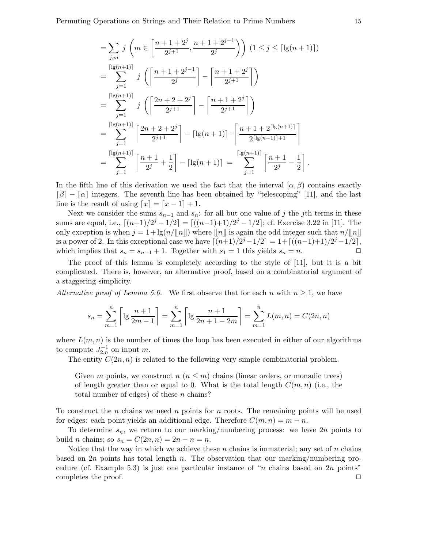$$
= \sum_{j,m} j \left( m \in \left[ \frac{n+1+2^{j}}{2^{j+1}}, \frac{n+1+2^{j-1}}{2^{j}} \right) \right) (1 \leq j \leq \lceil \lg(n+1) \rceil)
$$
  
\n
$$
= \sum_{j=1}^{\lceil \lg(n+1) \rceil} j \left( \left\lceil \frac{n+1+2^{j-1}}{2^{j}} \right\rceil - \left\lceil \frac{n+1+2^{j}}{2^{j+1}} \right\rceil \right)
$$
  
\n
$$
= \sum_{j=1}^{\lceil \lg(n+1) \rceil} j \left( \left\lceil \frac{2n+2+2^{j}}{2^{j+1}} \right\rceil - \left\lceil \frac{n+1+2^{j}}{2^{j+1}} \right\rceil \right)
$$
  
\n
$$
= \sum_{j=1}^{\lceil \lg(n+1) \rceil} \left\lceil \frac{2n+2+2^{j}}{2^{j+1}} \right\rceil - \lceil \lg(n+1) \rceil \cdot \left\lceil \frac{n+1+2^{\lceil \lg(n+1) \rceil}}{2^{\lceil \lg(n+1) \rceil + 1}} \right\rceil
$$
  
\n
$$
= \sum_{j=1}^{\lceil \lg(n+1) \rceil} \left\lceil \frac{n+1}{2^{j}} + \frac{1}{2} \right\rceil - \lceil \lg(n+1) \rceil = \sum_{j=1}^{\lceil \lg(n+1) \rceil} \left\lceil \frac{n+1}{2^{j}} - \frac{1}{2} \right\rceil.
$$

In the fifth line of this derivation we used the fact that the interval  $(\alpha, \beta)$  contains exactly  $\lceil \beta \rceil - \lceil \alpha \rceil$  integers. The seventh line has been obtained by "telescoping" [11], and the last line is the result of using  $[x] = [x - 1] + 1$ .

Next we consider the sums  $s_{n-1}$  and  $s_n$ : for all but one value of j the jth terms in these sums are equal, i.e.,  $\lceil (n+1)/2^j - 1/2 \rceil = \lceil ((n-1)+1)/2^j - 1/2 \rceil$ ; cf. Exercise 3.22 in [11]. The only exception is when  $j = 1 + \lg(n/||n||)$  where  $||n||$  is again the odd integer such that  $n/||n||$ is a power of 2. In this exceptional case we have  $\lceil (n+1)/2^j - 1/2 \rceil = 1 + \lceil ((n-1)+1)/2^j - 1/2 \rceil$ , which implies that  $s_n = s_{n-1} + 1$ . Together with  $s_1 = 1$  this yields  $s_n = n$ .

The proof of this lemma is completely according to the style of [11], but it is a bit complicated. There is, however, an alternative proof, based on a combinatorial argument of a staggering simplicity.

Alternative proof of Lemma 5.6. We first observe that for each n with  $n \geq 1$ , we have

$$
s_n = \sum_{m=1}^n \left[ \lg \frac{n+1}{2m-1} \right] = \sum_{m=1}^n \left[ \lg \frac{n+1}{2n+1-2m} \right] = \sum_{m=1}^n L(m,n) = C(2n,n)
$$

where  $L(m, n)$  is the number of times the loop has been executed in either of our algorithms to compute  $J_{2,n}^{-1}$  on input m.

The entity  $C(2n, n)$  is related to the following very simple combinatorial problem.

Given m points, we construct  $n (n \leq m)$  chains (linear orders, or monadic trees) of length greater than or equal to 0. What is the total length  $C(m, n)$  (i.e., the total number of edges) of these  $n$  chains?

To construct the *n* chains we need *n* points for *n* roots. The remaining points will be used for edges: each point yields an additional edge. Therefore  $C(m, n) = m - n$ .

To determine  $s_n$ , we return to our marking/numbering process: we have  $2n$  points to build *n* chains; so  $s_n = C(2n, n) = 2n - n = n$ .

Notice that the way in which we achieve these  $n$  chains is immaterial; any set of  $n$  chains based on 2n points has total length n. The observation that our marking/numbering procedure (cf. Example 5.3) is just one particular instance of "n chains based on  $2n$  points" completes the proof.  $\Box$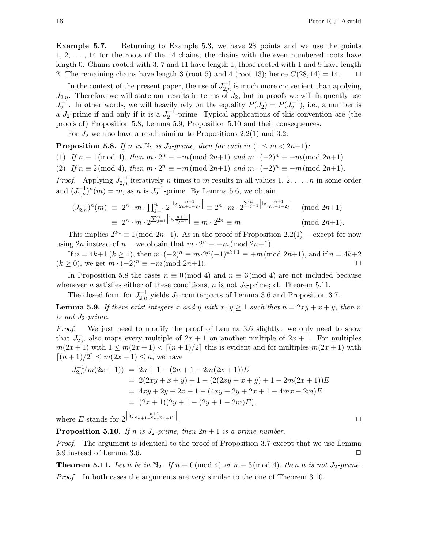Example 5.7. Returning to Example 5.3, we have 28 points and we use the points  $1, 2, \ldots$ , 14 for the roots of the 14 chains; the chains with the even numbered roots have length 0. Chains rooted with 3, 7 and 11 have length 1, those rooted with 1 and 9 have length 2. The remaining chains have length 3 (root 5) and 4 (root 13); hence  $C(28, 14) = 14$ .  $\Box$ 

In the context of the present paper, the use of  $J_{2,n}^{-1}$  is much more convenient than applying  $J_{2,n}$ . Therefore we will state our results in terms of  $J_2$ , but in proofs we will frequently use  $J_2^{-1}$ . In other words, we will heavily rely on the equality  $P(J_2) = P(J_2^{-1})$ , i.e., a number is a  $J_2$ -prime if and only if it is a  $J_2^{-1}$ -prime. Typical applications of this convention are (the proofs of) Proposition 5.8, Lemma 5.9, Proposition 5.10 and their consequences.

For  $J_2$  we also have a result similar to Propositions 2.2(1) and 3.2:

**Proposition 5.8.** If n in  $\mathbb{N}_2$  is  $J_2\text{-prime}$ , then for each  $m$   $(1 \leq m < 2n+1)$ :

(1) If  $n \equiv 1 \pmod{4}$ , then  $m \cdot 2^n \equiv -m \pmod{2n+1}$  and  $m \cdot (-2)^n \equiv +m \pmod{2n+1}$ .

(2) If  $n \equiv 2 \pmod{4}$ , then  $m \cdot 2^n \equiv -m \pmod{2n+1}$  and  $m \cdot (-2)^n \equiv -m \pmod{2n+1}$ .

*Proof.* Applying  $J_{2,n}^{-1}$  iteratively n times to m results in all values 1, 2, ..., n in some order and  $(J_{2,n}^{-1})^n(m) = m$ , as n is  $J_2^{-1}$ -prime. By Lemma 5.6, we obtain

$$
(J_{2,n}^{-1})^n(m) \equiv 2^n \cdot m \cdot \prod_{j=1}^n 2^{\left\lceil \lg \frac{n+1}{2n+1-2j} \right\rceil} \equiv 2^n \cdot m \cdot 2^{\sum_{j=1}^n \left\lceil \lg \frac{n+1}{2n+1-2j} \right\rceil} \pmod{2n+1}
$$

$$
\equiv 2^n \cdot m \cdot 2^{\sum_{j=1}^n \left\lceil \lg \frac{n+1}{2j-1} \right\rceil} \equiv m \cdot 2^{2n} \equiv m \pmod{2n+1}.
$$

This implies  $2^{2n} \equiv 1 \pmod{2n+1}$ . As in the proof of Proposition 2.2(1) —except for now using  $2n$  instead of  $n$ — we obtain that  $m \cdot 2^n \equiv -m \pmod{2n+1}$ .

If  $n = 4k+1$   $(k \ge 1)$ , then  $m \cdot (-2)^n \equiv m \cdot 2^n(-1)^{4k+1} \equiv +m \pmod{2n+1}$ , and if  $n = 4k+2$  $(k \geq 0)$ , we get  $m \cdot (-2)^n \equiv -m \pmod{2n+1}$ .

In Proposition 5.8 the cases  $n \equiv 0 \pmod{4}$  and  $n \equiv 3 \pmod{4}$  are not included because whenever *n* satisfies either of these conditions, *n* is not  $J_2$ -prime; cf. Theorem 5.11.

The closed form for  $J_{2,n}^{-1}$  yields  $J_2$ -counterparts of Lemma 3.6 and Proposition 3.7.

**Lemma 5.9.** If there exist integers x and y with  $x, y \ge 1$  such that  $n = 2xy + x + y$ , then n is not  $J_2\text{-}prime.$ 

Proof. We just need to modify the proof of Lemma 3.6 slightly: we only need to show that  $J_{2,n}^{-1}$  also maps every multiple of  $2x + 1$  on another multiple of  $2x + 1$ . For multiples  $m(2x+1)$  with  $1 \leq m(2x+1) < [(n+1)/2]$  this is evident and for multiples  $m(2x+1)$  with  $[(n+1)/2] \leq m(2x+1) \leq n$ , we have

$$
J_{2,n}^{-1}(m(2x+1)) = 2n + 1 - (2n + 1 - 2m(2x+1))E
$$
  
= 2(2xy + x + y) + 1 - (2(2xy + x + y) + 1 - 2m(2x + 1))E  
= 4xy + 2y + 2x + 1 - (4xy + 2y + 2x + 1 - 4mx - 2m)E  
= (2x + 1)(2y + 1 - (2y + 1 - 2m)E),

where E stands for  $2^{\left\lceil \lg \frac{n+1}{2n+1-2m(2x+1)} \right\rceil}$ 

**Proposition 5.10.** If n is  $J_2$ -prime, then  $2n + 1$  is a prime number.

Proof. The argument is identical to the proof of Proposition 3.7 except that we use Lemma 5.9 instead of Lemma 3.6.  $\Box$ 

**Theorem 5.11.** Let n be in  $\mathbb{N}_2$ . If  $n \equiv 0 \pmod{4}$  or  $n \equiv 3 \pmod{4}$ , then n is not  $J_2\text{-prime}$ . *Proof.* In both cases the arguments are very similar to the one of Theorem 3.10.

. ✷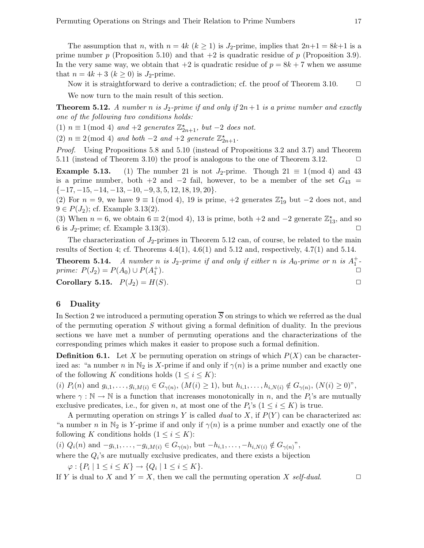The assumption that n, with  $n = 4k$   $(k \ge 1)$  is J<sub>2</sub>-prime, implies that  $2n+1 = 8k+1$  is a prime number p (Proposition 5.10) and that  $+2$  is quadratic residue of p (Proposition 3.9). In the very same way, we obtain that  $+2$  is quadratic residue of  $p = 8k + 7$  when we assume that  $n = 4k + 3$   $(k \geq 0)$  is J<sub>2</sub>-prime.

Now it is straightforward to derive a contradiction; cf. the proof of Theorem 3.10.  $\Box$ 

We now turn to the main result of this section.

**Theorem 5.12.** A number n is  $J_2$ -prime if and only if  $2n+1$  is a prime number and exactly one of the following two conditions holds:

(1)  $n \equiv 1 \pmod{4}$  and +2 generates  $\mathbb{Z}_{2n+1}^{\star}$ , but -2 does not.

(2)  $n \equiv 2 \pmod{4}$  and both -2 and +2 generate  $\mathbb{Z}_{2n+1}^{\star}$ .

Proof. Using Propositions 5.8 and 5.10 (instead of Propositions 3.2 and 3.7) and Theorem 5.11 (instead of Theorem 3.10) the proof is analogous to the one of Theorem 3.12.  $\Box$ 

**Example 5.13.** (1) The number 21 is not  $J_2$ -prime. Though 21  $\equiv$  1 (mod 4) and 43 is a prime number, both +2 and  $-2$  fail, however, to be a member of the set  $G_{43} =$  $\{-17, -15, -14, -13, -10, -9, 3, 5, 12, 18, 19, 20\}.$ 

(2) For  $n = 9$ , we have  $9 \equiv 1 \pmod{4}$ , 19 is prime,  $+2$  generates  $\mathbb{Z}_{19}^{\star}$  but  $-2$  does not, and  $9 \in P(J_2)$ ; cf. Example 3.13(2).

(3) When  $n = 6$ , we obtain  $6 \equiv 2 \pmod{4}$ , 13 is prime, both +2 and -2 generate  $\mathbb{Z}_{13}^*$ , and so 6 is  $J_2$ -prime; cf. Example 3.13(3).  $\Box$ 

The characterization of  $J_2$ -primes in Theorem 5.12 can, of course, be related to the main results of Section 4; cf. Theorems  $4.4(1)$ ,  $4.6(1)$  and  $5.12$  and, respectively,  $4.7(1)$  and  $5.14$ .

**Theorem 5.14.** A number n is  $J_2$ -prime if and only if either n is  $A_0$ -prime or n is  $A_1^+$ prime:  $P(J_2) = P(A_0) \cup P(A_1^+)$ ).  $\square$ 

Corollary 5.15.  $P(J_2) = H(S)$ .

# 6 Duality

In Section 2 we introduced a permuting operation  $\overline{S}$  on strings to which we referred as the dual of the permuting operation S without giving a formal definition of duality. In the previous sections we have met a number of permuting operations and the characterizations of the corresponding primes which makes it easier to propose such a formal definition.

**Definition 6.1.** Let X be permuting operation on strings of which  $P(X)$  can be characterized as: "a number n in  $\mathbb{N}_2$  is X-prime if and only if  $\gamma(n)$  is a prime number and exactly one of the following K conditions holds  $(1 \leq i \leq K)$ :

(i)  $P_i(n)$  and  $g_{i,1},...,g_{i,M(i)} \in G_{\gamma(n)}, (M(i) \geq 1)$ , but  $h_{i,1},...,h_{i,N(i)} \notin G_{\gamma(n)}, (N(i) \geq 0)$ ", where  $\gamma : \mathbb{N} \to \mathbb{N}$  is a function that increases monotonically in n, and the  $P_i$ 's are mutually exclusive predicates, i.e., for given *n*, at most one of the  $P_i$ 's  $(1 \le i \le K)$  is true.

A permuting operation on strings Y is called *dual* to X, if  $P(Y)$  can be characterized as: "a number n in  $\mathbb{N}_2$  is Y-prime if and only if  $\gamma(n)$  is a prime number and exactly one of the following K conditions holds  $(1 \leq i \leq K)$ :

 $(i) Q_i(n)$  and  $-g_{i,1}, \ldots, -g_{i,M(i)} \in G_{\gamma(n)}$ , but  $-h_{i,1}, \ldots, -h_{i,N(i)} \notin G_{\gamma(n)}$ ",

where the  $Q_i$ 's are mutually exclusive predicates, and there exists a bijection

 $\varphi: \{P_i \mid 1 \leq i \leq K\} \to \{Q_i \mid 1 \leq i \leq K\}.$ 

If Y is dual to X and  $Y = X$ , then we call the permuting operation X self-dual.  $\Box$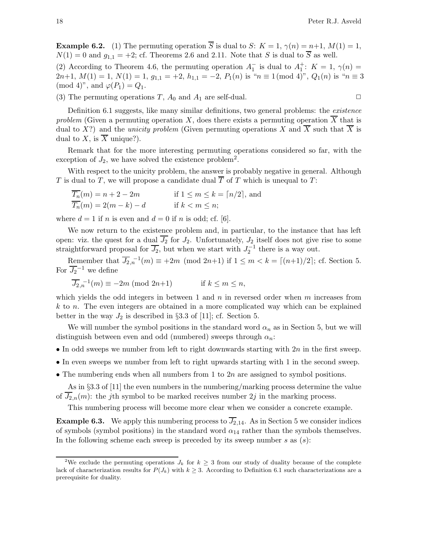**Example 6.2.** (1) The permuting operation  $\overline{S}$  is dual to S:  $K = 1$ ,  $\gamma(n) = n+1$ ,  $M(1) = 1$ ,  $N(1) = 0$  and  $g_{1,1} = +2$ ; cf. Theorems 2.6 and 2.11. Note that S is dual to  $\overline{S}$  as well.

(2) According to Theorem 4.6, the permuting operation  $A_1^-$  is dual to  $A_1^+$ :  $K = 1, \gamma(n) =$ 2n+1,  $M(1) = 1$ ,  $N(1) = 1$ ,  $g_{1,1} = +2$ ,  $h_{1,1} = -2$ ,  $P_1(n)$  is " $n \equiv 1 \pmod{4}$ ",  $Q_1(n)$  is " $n \equiv 3$  $\pmod{4}$ , and  $\varphi(P_1) = Q_1$ .

(3) The permuting operations T,  $A_0$  and  $A_1$  are self-dual.

Definition 6.1 suggests, like many similar definitions, two general problems: the *existence* problem (Given a permuting operation X, does there exists a permuting operation  $\overline{X}$  that is dual to X?) and the *unicity problem* (Given permuting operations X and  $\overline{X}$  such that  $\overline{X}$  is dual to X, is  $\overline{X}$  unique?).

Remark that for the more interesting permuting operations considered so far, with the exception of  $J_2$ , we have solved the existence problem<sup>2</sup>.

With respect to the unicity problem, the answer is probably negative in general. Although T is dual to T, we will propose a candidate dual  $\overline{T}$  of T which is unequal to T:

$$
\overline{T_n}(m) = n + 2 - 2m \qquad \text{if } 1 \le m \le k = \lceil n/2 \rceil, \text{ and}
$$
  

$$
\overline{T_n}(m) = 2(m - k) - d \qquad \text{if } k < m \le n;
$$

where  $d = 1$  if n is even and  $d = 0$  if n is odd; cf. [6].

We now return to the existence problem and, in particular, to the instance that has left open: viz. the quest for a dual  $\overline{J_2}$  for  $J_2$ . Unfortunately,  $J_2$  itself does not give rise to some straightforward proposal for  $\overline{J_2}$ , but when we start with  $J_2^{-1}$  there is a way out.

Remember that  $\overline{J_{2,n}}^{-1}(m) \equiv +2m \pmod{2n+1}$  if  $1 \leq m < k = \lceil (n+1)/2 \rceil$ ; cf. Section 5. For  $\overline{J_2}^{-1}$  we define

$$
\overline{J_2}_{n}^{-1}(m) \equiv -2m \pmod{2n+1} \qquad \text{if } k \le m \le n,
$$

which yields the odd integers in between 1 and  $n$  in reversed order when  $m$  increases from k to n. The even integers are obtained in a more complicated way which can be explained better in the way  $J_2$  is described in §3.3 of [11]; cf. Section 5.

We will number the symbol positions in the standard word  $\alpha_n$  as in Section 5, but we will distinguish between even and odd (numbered) sweeps through  $\alpha_n$ :

- In odd sweeps we number from left to right downwards starting with  $2n$  in the first sweep.
- In even sweeps we number from left to right upwards starting with 1 in the second sweep.
- The numbering ends when all numbers from 1 to  $2n$  are assigned to symbol positions.

As in §3.3 of [11] the even numbers in the numbering/marking process determine the value of  $J_{2,n}(m)$ : the jth symbol to be marked receives number  $2j$  in the marking process.

This numbering process will become more clear when we consider a concrete example.

**Example 6.3.** We apply this numbering process to  $J_{2,14}$ . As in Section 5 we consider indices of symbols (symbol positions) in the standard word  $\alpha_{14}$  rather than the symbols themselves. In the following scheme each sweep is preceded by its sweep number  $s$  as  $(s)$ :

<sup>&</sup>lt;sup>2</sup>We exclude the permuting operations  $J_k$  for  $k \geq 3$  from our study of duality because of the complete lack of characterization results for  $P(J_k)$  with  $k \geq 3$ . According to Definition 6.1 such characterizations are a prerequisite for duality.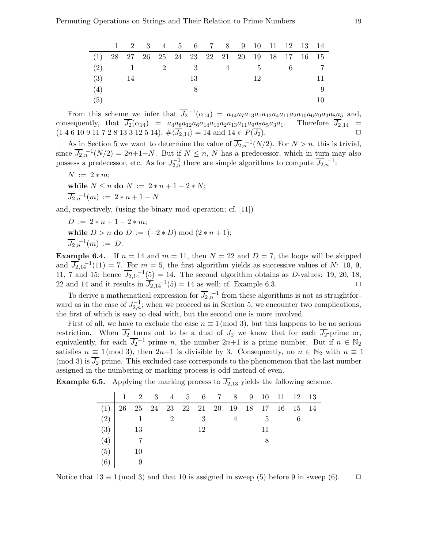|                                                   | 1 2 3 4 5 6 7 8 9 10 11 12 13 14 |  |     |  |             |    |  |  |
|---------------------------------------------------|----------------------------------|--|-----|--|-------------|----|--|--|
| $(1)$   28 27 26 25 24 23 22 21 20 19 18 17 16 15 |                                  |  |     |  |             |    |  |  |
| (2)                                               | 1 2 3                            |  |     |  | $4 \quad 5$ |    |  |  |
| (3)                                               | - 14                             |  | -13 |  |             | 12 |  |  |
| (4)                                               |                                  |  |     |  |             |    |  |  |
| (5)                                               |                                  |  |     |  |             |    |  |  |

From this scheme we infer that  $\overline{J_2}^{-1}(\alpha_{14}) = a_{14}a_7a_{13}a_1a_{12}a_4a_{11}a_2a_{10}a_6a_9a_3a_8a_5$  and, consequently, that  $J_2(\alpha_{14}) = a_4a_8a_{12}a_6a_{14}a_{10}a_2a_{13}a_{11}a_9a_7a_5a_3a_1$ . Therefore  $J_{2,14} =$  $(1\ 4\ 6\ 10\ 9\ 11\ 7\ 2\ 8\ 13\ 3\ 12\ 5\ 14), \#\langle\overline{J_2},1_4\rangle = 14 \text{ and } 14 \in P(\overline{J_2}).$ 

As in Section 5 we want to determine the value of  $\overline{J_{2,n}}^{-1}(N/2)$ . For  $N > n$ , this is trivial, since  $\overline{J_{2,n}}^{-1}(N/2) = 2n+1-N$ . But if  $N \leq n$ , N has a predecessor, which in turn may also possess a predecessor, etc. As for  $J_{2,n}^{-1}$  there are simple algorithms to compute  $\overline{J_{2,n}}^{-1}$ :

 $N := 2 * m;$ while  $N \le n$  do  $N := 2 * n + 1 - 2 * N$ ;  $\overline{J_{2,n}}^{-1}(m) := 2*n+1-N$ 

and, respectively, (using the binary mod-operation; cf. [11])

 $D := 2 * n + 1 - 2 * m$ : while  $D > n$  do  $D := (-2*D) \bmod (2*n+1)$ ;  $\overline{J_{2,n}}^{-1}(m) := D.$ 

**Example 6.4.** If  $n = 14$  and  $m = 11$ , then  $N = 22$  and  $D = 7$ , the loops will be skipped and  $\overline{J_{2,14}}^{-1}(11) = 7$ . For  $m = 5$ , the first algorithm yields as successive values of N: 10, 9, 11, 7 and 15; hence  $\overline{J_{2,14}}^{-1}(5) = 14$ . The second algorithm obtains as D-values: 19, 20, 18, 22 and 14 and it results in  $\overline{J_{2,14}}^{-1}(5) = 14$  as well; cf. Example 6.3.

To derive a mathematical expression for  $\overline{J_2}$ <sub>,n</sub><sup>-1</sup> from these algorithms is not as straightforward as in the case of  $J_{2,n}^{-1}$ ; when we proceed as in Section 5, we encounter two complications, the first of which is easy to deal with, but the second one is more involved.

First of all, we have to exclude the case  $n \equiv 1 \pmod{3}$ , but this happens to be no serious restriction. When  $\overline{J_2}$  turns out to be a dual of  $J_2$  we know that for each  $\overline{J_2}$ -prime or, equivalently, for each  $\overline{J_2}^{-1}$ -prime n, the number  $2n+1$  is a prime number. But if  $n \in \mathbb{N}_2$ satisfies  $n \equiv 1 \pmod{3}$ , then  $2n+1$  is divisible by 3. Consequently, no  $n \in \mathbb{N}_2$  with  $n \equiv 1$ (mod 3) is  $J_2$ -prime. This excluded case corresponds to the phenomenon that the last number assigned in the numbering or marking process is odd instead of even.

**Example 6.5.** Applying the marking process to  $J_{2,13}$  yields the following scheme.

|     |      |   |    |  |    | $1 \quad 2 \quad 3 \quad 4 \quad 5 \quad 6 \quad 7 \quad 8 \quad 9 \quad 10 \quad 11 \quad 12 \quad 13$ |  |
|-----|------|---|----|--|----|---------------------------------------------------------------------------------------------------------|--|
| (1) |      |   |    |  |    | 26 25 24 23 22 21 20 19 18 17 16 15 14                                                                  |  |
| (2) |      | 2 | -3 |  | 5  |                                                                                                         |  |
| (3) | - 13 |   | 12 |  | 11 |                                                                                                         |  |
| (4) |      |   |    |  |    |                                                                                                         |  |
| (5) | 10   |   |    |  |    |                                                                                                         |  |
| (6) |      |   |    |  |    |                                                                                                         |  |

Notice that  $13 \equiv 1 \pmod{3}$  and that 10 is assigned in sweep (5) before 9 in sweep (6).  $\Box$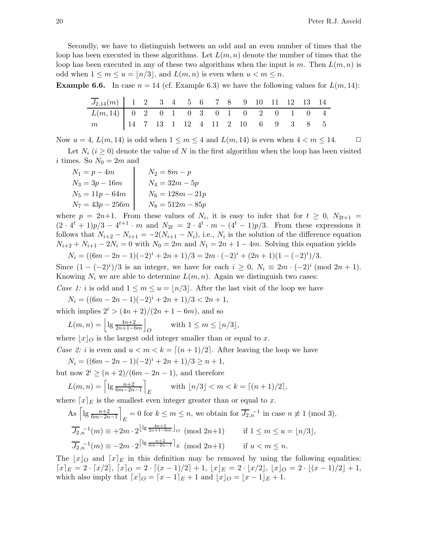Secondly, we have to distinguish between an odd and an even number of times that the loop has been executed in these algorithms. Let  $L(m, n)$  denote the number of times that the loop has been executed in any of these two algorithms when the input is m. Then  $L(m, n)$  is odd when  $1 \leq m \leq u = |n/3|$ , and  $L(m, n)$  is even when  $u < m \leq n$ .

**Example 6.6.** In case  $n = 14$  (cf. Example 6.3) we have the following values for  $L(m, 14)$ :

| $\overline{J_{2,14}}(m)$ 1 2 3 4 5 6 7 8 9 10 11 12 13 14 |  |  |  |  |  |  |  |
|-----------------------------------------------------------|--|--|--|--|--|--|--|
| $L(m,14)$ 0 2 0 1 0 3 0 1 0 2 0 1 0 4                     |  |  |  |  |  |  |  |
| m 14 7 13 1 12 4 11 2 10 6 9 3 8 5                        |  |  |  |  |  |  |  |

Now  $u = 4$ ,  $L(m, 14)$  is odd when  $1 \le m \le 4$  and  $L(m, 14)$  is even when  $4 < m \le 14$ .  $\Box$ 

Let  $N_i$  ( $i \geq 0$ ) denote the value of N in the first algorithm when the loop has been visited i times. So  $N_0 = 2m$  and

| $N_1 = p - 4m$     | $N_2 = 8m - p$     |
|--------------------|--------------------|
| $N_3 = 3p - 16m$   | $N_4 = 32m - 5p$   |
| $N_5 = 11p - 64m$  | $N_6 = 128m - 21p$ |
| $N_7 = 43p - 256m$ | $N_8 = 512m - 85p$ |

where  $p = 2n+1$ . From these values of  $N_i$ , it is easy to infer that for  $t \geq 0$ ,  $N_{2t+1} =$  $(2 \cdot 4^t + 1)p/3 - 4^{t+1} \cdot m$  and  $N_{2t} = 2 \cdot 4^t \cdot m - (4^t - 1)p/3$ . From these expressions it follows that  $N_{i+2} - N_{i+1} = -2(N_{i+1} - N_i)$ , i.e.,  $N_i$  is the solution of the difference equation  $N_{i+2} + N_{i+1} - 2N_i = 0$  with  $N_0 = 2m$  and  $N_1 = 2n + 1 - 4m$ . Solving this equation yields

$$
N_i = ((6m - 2n - 1)(-2)^i + 2n + 1)/3 = 2m \cdot (-2)^i + (2n + 1)(1 - (-2)^i)/3.
$$

Since  $(1 - (-2)^i)/3$  is an integer, we have for each  $i \geq 0$ ,  $N_i \equiv 2m \cdot (-2)^i \pmod{2n+1}$ . Knowing  $N_i$  we are able to determine  $L(m, n)$ . Again we distinguish two cases:

Case 1: i is odd and  $1 \leq m \leq u = |n/3|$ . After the last visit of the loop we have

 $N_i = ((6m - 2n - 1)(-2)^i + 2n + 1)/3 < 2n + 1,$ 

which implies  $2^{i}$  >  $(4n + 2)/(2n + 1 - 6m)$ , and so

$$
L(m, n) = \left\lfloor \lg \frac{4n+2}{2n+1-6m} \right\rfloor_O \quad \text{with } 1 \le m \le \lfloor n/3 \rfloor,
$$

where  $\lfloor x \rfloor_0$  is the largest odd integer smaller than or equal to x.

Case 2: i is even and  $u < m < k = [(n+1)/2]$ . After leaving the loop we have

$$
N_i = ((6m - 2n - 1)(-2)^i + 2n + 1)/3 \ge n + 1,
$$

but now  $2^{i} \ge (n+2)/(6m-2n-1)$ , and therefore

$$
L(m, n) = \left[ \lg \frac{n+2}{6m-2n-1} \right]_E \quad \text{with } \lfloor n/3 \rfloor < m < k = \lceil (n+1)/2 \rceil,
$$

where  $[x]_E$  is the smallest even integer greater than or equal to x.

As 
$$
\left[lg \frac{n+2}{6m-2n-1}\right]_E = 0
$$
 for  $k \le m \le n$ , we obtain for  $\overline{J_2}_n^{-1}$  in case  $n \ne 1 \pmod{3}$ ,  
\n
$$
\overline{J_2}_n^{-1}(m) \equiv +2m \cdot 2^{\left\lfloor \lg \frac{4n+2}{2n+1-6m} \right\rfloor} \circ \pmod{2n+1} \quad \text{if } 1 \le m \le u = \lfloor n/3 \rfloor,
$$
\n
$$
\overline{J_2}_n^{-1}(m) \equiv -2m \cdot 2^{\left\lceil \lg \frac{n+2}{6m-2n-1} \right\rceil} \circ \pmod{2n+1} \quad \text{if } u < m \le n.
$$

The  $|x|_O$  and  $[x]_E$  in this definition may be removed by using the following equalities:  $[x]_E = 2 \cdot [x/2], [x]_O = 2 \cdot [(x-1)/2] + 1, |x|_E = 2 \cdot [x/2], |x|_O = 2 \cdot [(x-1)/2] + 1,$ which also imply that  $[x]_O = [x-1]_E + 1$  and  $|x|_O = |x-1|_E + 1$ .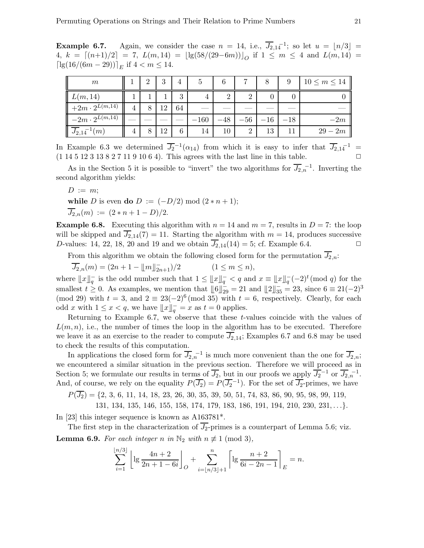**Example 6.7.** Again, we consider the case  $n = 14$ , i.e.,  $\overline{J_{2,14}}^{-1}$ ; so let  $u = \lfloor n/3 \rfloor =$ 4,  $k = \lfloor (n+1)/2 \rfloor = 7$ ,  $L(m, 14) = \lfloor \lg(58/(29-6m)) \rfloor_O$  if  $1 \le m \le 4$  and  $L(m, 14) =$  $\lceil \lg(16/(6m-29)) \rceil_E$  if  $4 < m \leq 14$ .

| m                                   | 2 | 3  | 4  | 5      |        |                |       | 9     | $10 \leq m \leq 14$ |
|-------------------------------------|---|----|----|--------|--------|----------------|-------|-------|---------------------|
| L(m, 14)                            |   |    | 3  |        | റ      | $\overline{2}$ |       |       |                     |
| $\parallel +2m \cdot 2^{L(m,14)}$   | 8 | 12 | 64 |        |        |                |       |       |                     |
| $\vert -2m \cdot 2^{L(m,14)} \vert$ |   |    |    | $-160$ | $-48$  | $-56$          | $-16$ | $-18$ | $-2m$               |
| $\overline{J_{2,14}}^{-1}(m)$       |   | 12 | 6  | 14     | $10\,$ | $\overline{2}$ | 13    |       | $29 - 2m$           |

In Example 6.3 we determined  $\overline{J_2}^{-1}(\alpha_{14})$  from which it is easy to infer that  $\overline{J_2}_{,14}^{-1}$  =  $(1 14 5 12 3 13 8 2 7 11 9 10 6 4)$ . This agrees with the last line in this table.

As in the Section 5 it is possible to "invert" the two algorithms for  $\overline{J_2}$ <sub>,n</sub><sup>-1</sup>. Inverting the second algorithm yields:

 $D := m$ ;

while D is even do  $D := (-D/2) \mod (2*n+1);$  $\overline{J_{2,n}}(m) := (2*n+1-D)/2.$ 

**Example 6.8.** Executing this algorithm with  $n = 14$  and  $m = 7$ , results in  $D = 7$ : the loop will be skipped and  $\overline{J_{2,14}}(7) = 11$ . Starting the algorithm with  $m = 14$ , produces successive D-values: 14, 22, 18, 20 and 19 and we obtain  $\overline{J_{2,14}}(14) = 5$ ; cf. Example 6.4.

From this algorithm we obtain the following closed form for the permutation  $\overline{J_2}_{n}$ :

 $\overline{J_{2,n}}(m) = (2n + 1 - \|\,\|_{2n}^{\mathsf{I}})$  $(1 \leq m \leq n),$ 

where  $||x||_q^-$  is the odd number such that  $1 \leq ||x||_q^- < q$  and  $x \equiv ||x||_q^- (-2)^t \pmod{q}$  for the smallest  $t \geq 0$ . As examples, we mention that  $\|\mathbf{6}\|_{29}^{\dagger} = 21$  and  $\|\mathbf{2}\|_{35}^{\dagger} = 23$ , since  $\mathbf{6} \equiv 21(-2)^3$ (mod 29) with  $t = 3$ , and  $2 \equiv 23(-2)^6 \pmod{35}$  with  $t = 6$ , respectively. Clearly, for each odd x with  $1 \leq x < q$ , we have  $||x||_q^{\dagger} = x$  as  $t = 0$  applies.

Returning to Example 6.7, we observe that these t-values coincide with the values of  $L(m, n)$ , i.e., the number of times the loop in the algorithm has to be executed. Therefore we leave it as an exercise to the reader to compute  $J_{2,14}$ ; Examples 6.7 and 6.8 may be used to check the results of this computation.

In applications the closed form for  $\overline{J_{2,n}}^{-1}$  is much more convenient than the one for  $\overline{J_{2,n}}$ ; we encountered a similar situation in the previous section. Therefore we will proceed as in Section 5; we formulate our results in terms of  $\overline{J_2}$ , but in our proofs we apply  $\overline{J_2}^{-1}$  or  $\overline{J_2}_{n}^{-1}$ . And, of course, we rely on the equality  $P(\overline{J_2}) = P(\overline{J_2}^{-1})$ . For the set of  $\overline{J_2}$ -primes, we have

 $P(\overline{J_2}) = \{2, 3, 6, 11, 14, 18, 23, 26, 30, 35, 39, 50, 51, 74, 83, 86, 90, 95, 98, 99, 119,$ 

131, 134, 135, 146, 155, 158, 174, 179, 183, 186, 191, 194, 210, 230, 231, . . .}.

In [23] this integer sequence is known as A163781\*.

The first step in the characterization of  $\overline{J_2}$ -primes is a counterpart of Lemma 5.6; viz. **Lemma 6.9.** For each integer n in  $\mathbb{N}_2$  with  $n \not\equiv 1 \pmod{3}$ ,

$$
\sum_{i=1}^{\lfloor n/3 \rfloor} \left[ \lg \frac{4n+2}{2n+1-6i} \right]_O + \sum_{i=\lfloor n/3 \rfloor+1}^n \left[ \lg \frac{n+2}{6i-2n-1} \right]_E = n.
$$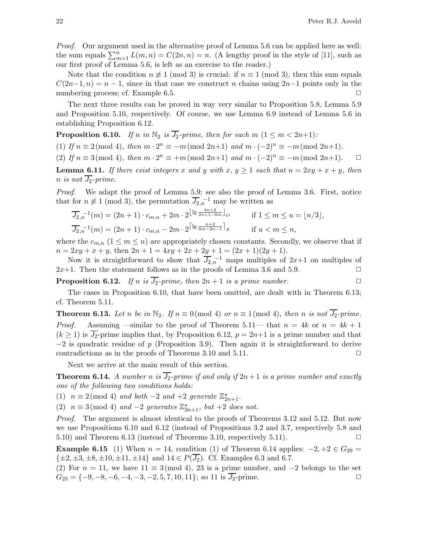Proof. Our argument used in the alternative proof of Lemma 5.6 can be applied here as well: the sum equals  $\sum_{m=1}^{n} L(m, n) = C(2n, n) = n$ . (A lengthy proof in the style of [11], such as our first proof of Lemma 5.6, is left as an exercise to the reader.)

Note that the condition  $n \neq 1 \pmod{3}$  is crucial: if  $n \equiv 1 \pmod{3}$ , then this sum equals  $C(2n-1, n) = n-1$ , since in that case we construct n chains using  $2n-1$  points only in the numbering process; cf. Example 6.5. ◯

The next three results can be proved in way very similar to Proposition 5.8, Lemma 5.9 and Proposition 5.10, respectively. Of course, we use Lemma 6.9 instead of Lemma 5.6 in establishing Proposition 6.12.

**Proposition 6.10.** If n in  $\mathbb{N}_2$  is  $\overline{J_2}$ -prime, then for each m  $(1 \leq m < 2n+1)$ :

(1) If  $n \equiv 2 \pmod{4}$ , then  $m \cdot 2^n \equiv -m \pmod{2n+1}$  and  $m \cdot (-2)^n \equiv -m \pmod{2n+1}$ .

(2) If  $n \equiv 3 \pmod{4}$ , then  $m \cdot 2^n \equiv +m \pmod{2n+1}$  and  $m \cdot (-2)^n \equiv -m \pmod{2n+1}$ .  $\Box$ 

**Lemma 6.11.** If there exist integers x and y with  $x, y \ge 1$  such that  $n = 2xy + x + y$ , then n is not  $\overline{J_2}$ -prime.

Proof. We adapt the proof of Lemma 5.9; see also the proof of Lemma 3.6. First, notice that for  $n \neq 1 \pmod{3}$ , the permutation  $\overline{J_{2,n}}^{-1}$  may be written as

$$
\overline{J_{2,n}}^{-1}(m) = (2n+1) \cdot c_{m,n} + 2m \cdot 2^{\lfloor \lg \frac{4n+2}{2n+1-6m} \rfloor} o \qquad \text{if } 1 \le m \le u = \lfloor n/3 \rfloor,
$$
  

$$
\overline{J_{2,n}}^{-1}(m) = (2n+1) \cdot c_{m,n} - 2m \cdot 2^{\lceil \lg \frac{n+2}{6m-2n-1} \rceil} e \qquad \text{if } u < m \le n,
$$

where the  $c_{m,n}$   $(1 \leq m \leq n)$  are appropriately chosen constants. Secondly, we observe that if  $n = 2xy + x + y$ , then  $2n + 1 = 4xy + 2x + 2y + 1 = (2x + 1)(2y + 1)$ .

Now it is straightforward to show that  $\overline{J_{2,n}}^{-1}$  maps multiples of  $2x+1$  on multiples of  $2x+1$ . Then the statement follows as in the proofs of Lemma 3.6 and 5.9.  $\Box$ 

**Proposition 6.12.** If n is  $\overline{J_2}$ -prime, then  $2n + 1$  is a prime number.

The cases in Proposition 6.10, that have been omitted, are dealt with in Theorem 6.13; cf. Theorem 5.11.

**Theorem 6.13.** Let n be in  $\mathbb{N}_2$ . If  $n \equiv 0 \pmod{4}$  or  $n \equiv 1 \pmod{4}$ , then n is not  $\overline{J_2}$ -prime. *Proof.* Assuming —similar to the proof of Theorem 5.11— that  $n = 4k$  or  $n = 4k + 1$  $(k \ge 1)$  is  $\overline{J_2}$ -prime implies that, by Proposition 6.12,  $p = 2n+1$  is a prime number and that  $-2$  is quadratic residue of p (Proposition 3.9). Then again it is straightforward to derive contradictions as in the proofs of Theorems 3.10 and 5.11.  $\Box$ 

Next we arrive at the main result of this section.

**Theorem 6.14.** A number n is  $\overline{J_2}$ -prime if and only if  $2n+1$  is a prime number and exactly one of the following two conditions holds:

(1)  $n \equiv 2 \pmod{4}$  and both -2 and +2 generate  $\mathbb{Z}_{2n+1}^{\star}$ .

(2)  $n \equiv 3 \pmod{4}$  and  $-2$  generates  $\mathbb{Z}_{2n+1}^{\star}$ , but  $+2$  does not.

Proof. The argument is almost identical to the proofs of Theorems 3.12 and 5.12. But now we use Propositions 6.10 and 6.12 (instead of Propositions 3.2 and 3.7, respectively 5.8 and 5.10) and Theorem 6.13 (instead of Theorems 3.10, respectively 5.11).  $\Box$ 

**Example 6.15** (1) When  $n = 14$ , condition (1) of Theorem 6.14 applies:  $-2, +2 \in G_{29}$  $\{\pm 2, \pm 3, \pm 8, \pm 10, \pm 11, \pm 14\}$  and  $14 \in P(\overline{J_2})$ . Cf. Examples 6.3 and 6.7.

(2) For  $n = 11$ , we have  $11 \equiv 3 \pmod{4}$ , 23 is a prime number, and  $-2$  belongs to the set  $G_{23} = \{-9, -8, -6, -4, -3, -2, 5, 7, 10, 11\};$  so 11 is  $\overline{J_2}$ -prime.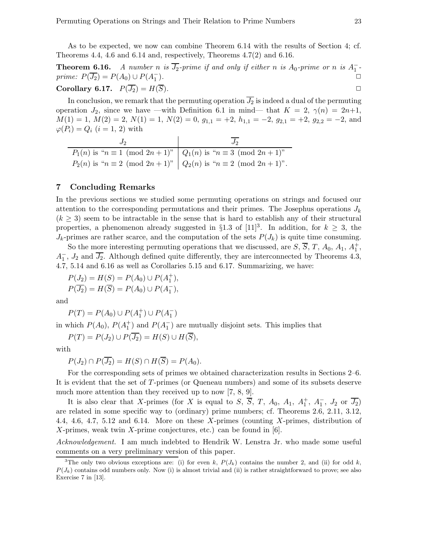As to be expected, we now can combine Theorem 6.14 with the results of Section 4; cf. Theorems 4.4, 4.6 and 6.14 and, respectively, Theorems 4.7(2) and 6.16.

**Theorem 6.16.** A number n is  $\overline{J_2}$ -prime if and only if either n is  $A_0$ -prime or n is  $A_1^-$ prime:  $P(\overline{J_2}) = P(A_0) \cup P(A_1^-)$ ).  $\square$ 

# **Corollary 6.17.**  $P(\overline{J_2}) = H(\overline{S})$ .

In conclusion, we remark that the permuting operation  $\overline{J_2}$  is indeed a dual of the permuting operation  $J_2$ , since we have —with Definition 6.1 in mind— that  $K = 2$ ,  $\gamma(n) = 2n+1$ ,  $M(1) = 1, M(2) = 2, N(1) = 1, N(2) = 0, g_{1,1} = +2, h_{1,1} = -2, g_{2,1} = +2, g_{2,2} = -2, \text{ and }$  $\varphi(P_i) = Q_i$   $(i = 1, 2)$  with

| $P_1(n)$ is " $n \equiv 1 \pmod{2n+1}$ "   $Q_1(n)$ is " $n \equiv 3 \pmod{2n+1}$ " |                                                                                    |
|-------------------------------------------------------------------------------------|------------------------------------------------------------------------------------|
|                                                                                     | $P_2(n)$ is " $n \equiv 2 \pmod{2n+1}$ " $Q_2(n)$ is " $n \equiv 2 \pmod{2n+1}$ ". |

# 7 Concluding Remarks

In the previous sections we studied some permuting operations on strings and focused our attention to the corresponding permutations and their primes. The Josephus operations  $J_k$  $(k \geq 3)$  seem to be intractable in the sense that is hard to establish any of their structural properties, a phenomenon already suggested in §1.3 of [11]<sup>3</sup>. In addition, for  $k \geq 3$ , the  $J_k$ -primes are rather scarce, and the computation of the sets  $P(J_k)$  is quite time consuming.

So the more interesting permuting operations that we discussed, are  $S$ ,  $\overline{S}$ ,  $T$ ,  $A_0$ ,  $A_1$ ,  $A_1^+$ ,  $A_1$ ,  $J_2$  and  $\overline{J_2}$ . Although defined quite differently, they are interconnected by Theorems 4.3, 4.7, 5.14 and 6.16 as well as Corollaries 5.15 and 6.17. Summarizing, we have:

 $P(J_2) = H(S) = P(A_0) \cup P(A_1^+),$  $P(\overline{J_2}) = H(\overline{S}) = P(A_0) \cup P(A_1^-),$ 

and

$$
P(T) = P(A_0) \cup P(A_1^+) \cup P(A_1^-)
$$

in which  $P(A_0)$ ,  $P(A_1^+)$  and  $P(A_1^-)$  are mutually disjoint sets. This implies that

 $P(T) = P(J_2) \cup P(\overline{J_2}) = H(S) \cup H(\overline{S}),$ 

with

$$
P(J_2) \cap P(\overline{J_2}) = H(S) \cap H(\overline{S}) = P(A_0).
$$

For the corresponding sets of primes we obtained characterization results in Sections 2–6. It is evident that the set of T-primes (or Queneau numbers) and some of its subsets deserve much more attention than they received up to now [7, 8, 9].

It is also clear that X-primes (for X is equal to S,  $\overline{S}$ , T,  $A_0$ ,  $A_1$ ,  $A_1^+$ ,  $A_1^-$ ,  $J_2$  or  $\overline{J_2}$ ) are related in some specific way to (ordinary) prime numbers; cf. Theorems 2.6, 2.11, 3.12, 4.4, 4.6, 4.7, 5.12 and 6.14. More on these X-primes (counting X-primes, distribution of  $X$ -primes, weak twin  $X$ -prime conjectures, etc.) can be found in [6].

Acknowledgement. I am much indebted to Hendrik W. Lenstra Jr. who made some useful comments on a very preliminary version of this paper.

<sup>&</sup>lt;sup>3</sup>The only two obvious exceptions are: (i) for even k,  $P(J_k)$  contains the number 2, and (ii) for odd k,  $P(J_k)$  contains odd numbers only. Now (i) is almost trivial and (ii) is rather straightforward to prove; see also Exercise 7 in [13].